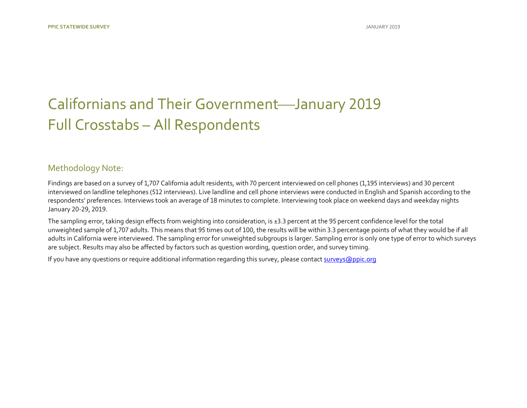# [Californians and Their Government](https://www.ppic.org/publication/ppic-statewide-survey-californians-and-their-government-january-2019/)-January 2019 Full Crosstabs – All Respondents

# Methodology Note:

Findings are based on a survey of 1,707 California adult residents, with 70 percent interviewed on cell phones (1,195 interviews) and 30 percent interviewed on landline telephones (512 interviews). Live landline and cell phone interviews were conducted in English and Spanish according to the respondents' preferences. Interviews took an average of 18 minutes to complete. Interviewing took place on weekend days and weekday nights January 20-29, 2019.

The sampling error, taking design effects from weighting into consideration, is ±3.3 percent at the 95 percent confidence level for the total unweighted sample of 1,707 adults. This means that 95 times out of 100, the results will be within 3.3 percentage points of what they would be if all adults in California were interviewed. The sampling error for unweighted subgroups is larger. Sampling error is only one type of error to which surveys are subject. Results may also be affected by factors such as question wording, question order, and survey timing.

If you have any questions or require additional information regarding this survey, please contac[t surveys@ppic.org](mailto:surveys@ppic.org)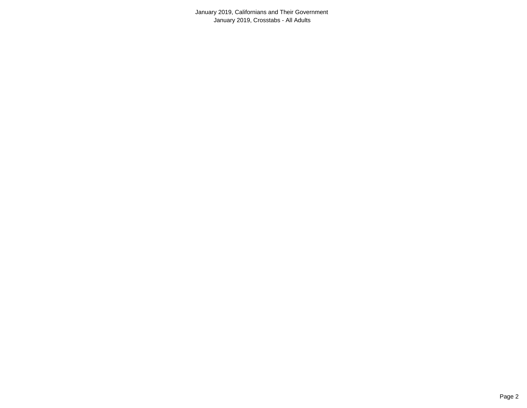January 2019, Californians and Their Government January 2019, Crosstabs - All Adults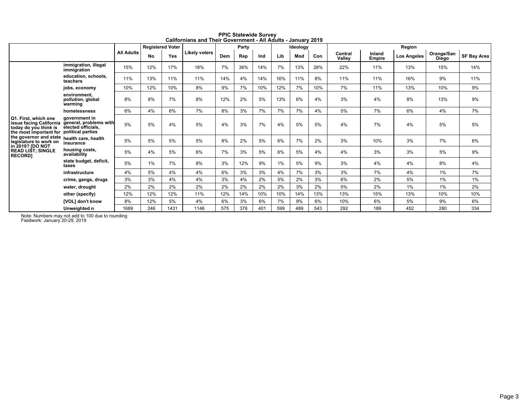|                                                                                                                              |                                                                                    |                   | <b>Registered Voter</b> |            |                      |            | Party |     |       | Ideology |     |                   |                         | Region      |                     |             |
|------------------------------------------------------------------------------------------------------------------------------|------------------------------------------------------------------------------------|-------------------|-------------------------|------------|----------------------|------------|-------|-----|-------|----------|-----|-------------------|-------------------------|-------------|---------------------|-------------|
|                                                                                                                              |                                                                                    | <b>All Adults</b> | No                      | <b>Yes</b> | <b>Likely voters</b> | <b>Dem</b> | Rep   | Ind | Lib   | Mod      | Con | Central<br>Vallev | Inland<br><b>Empire</b> | Los Angeles | Orange/San<br>Diego | SF Bay Area |
|                                                                                                                              | immigration, illegal<br>immigration                                                | 15%               | 12%                     | 17%        | 18%                  | 7%         | 36%   | 14% | 7%    | 13%      | 28% | 22%               | 11%                     | 13%         | 15%                 | 14%         |
|                                                                                                                              | education, schools,<br>teachers                                                    | 11%               | 13%                     | 11%        | 11%                  | 14%        | 4%    | 14% | 16%   | 11%      | 8%  | 11%               | 11%                     | 16%         | 9%                  | 11%         |
|                                                                                                                              | jobs, economy                                                                      | 10%               | 12%                     | 10%        | 8%                   | 9%         | 7%    | 10% | 12%   | 7%       | 10% | 7%                | 11%                     | 13%         | 10%                 | 9%          |
|                                                                                                                              | environment.<br>pollution, global<br>warming                                       | 8%                | 8%                      | 7%         | 8%                   | 12%        | 2%    | 5%  | 13%   | 6%       | 4%  | 3%                | 4%                      | 8%          | 13%                 | 9%          |
|                                                                                                                              | homelessness                                                                       | 6%                | 4%                      | 6%         | 7%                   | 8%         | 3%    | 7%  | 7%    | 7%       | 4%  | 5%                | 7%                      | 6%          | 4%                  | 7%          |
| Q1. First. which one<br>issue facing California<br>today do you think is<br>the most important for<br>the governor and state | government in<br>general, problems with<br>elected officials.<br>political parties | 5%                | 5%                      | 4%         | 5%                   | 4%         | 3%    | 7%  | 4%    | 5%       | 5%  | 4%                | 7%                      | 4%          | 5%                  | 5%          |
| legislature to work on<br>in 2019? [DO NOT                                                                                   | health care, health<br>insurance                                                   | 5%                | 5%                      | 5%         | 5%                   | 8%         | 2%    | 5%  | 6%    | 7%       | 2%  | 3%                | 10%                     | 3%          | 7%                  | 6%          |
| READ LIŠT; SINGLE<br><b>RECORDI</b>                                                                                          | housing costs,<br>availability                                                     | 5%                | 4%                      | 5%         | 6%                   | 7%         | 3%    | 5%  | 6%    | 5%       | 4%  | 4%                | 3%                      | 3%          | 5%                  | 9%          |
|                                                                                                                              | state budget, deficit,<br>taxes                                                    | 5%                | $1\%$                   | 7%         | 8%                   | 3%         | 12%   | 9%  | $1\%$ | 5%       | 9%  | 3%                | 4%                      | 4%          | 8%                  | 4%          |
|                                                                                                                              | infrastructure                                                                     | 4%                | 5%                      | 4%         | 4%                   | 6%         | 3%    | 3%  | 4%    | 7%       | 3%  | 3%                | 7%                      | 4%          | 1%                  | 7%          |
|                                                                                                                              | crime, gangs, drugs                                                                | 3%                | 3%                      | 4%         | 4%                   | 3%         | 4%    | 2%  | 5%    | 2%       | 3%  | 6%                | 2%                      | 5%          | 1%                  | 1%          |
|                                                                                                                              | water, drought                                                                     | 2%                | 2%                      | 2%         | 2%                   | 2%         | 2%    | 2%  | 2%    | 3%       | 2%  | 5%                | 2%                      | 1%          | 1%                  | 2%          |
|                                                                                                                              | other (specify)                                                                    | 12%               | 12%                     | 12%        | 11%                  | 12%        | 14%   | 10% | 10%   | 14%      | 13% | 13%               | 15%                     | 13%         | 10%                 | 10%         |
|                                                                                                                              | [VOL] don't know                                                                   | 8%                | 12%                     | 5%         | 4%                   | 6%         | 3%    | 6%  | 7%    | 9%       | 6%  | 10%               | 6%                      | 5%          | 9%                  | 6%          |
|                                                                                                                              | Unweighted n                                                                       | 1689              | 246                     | 1431       | 1146                 | 575        | 378   | 401 | 599   | 489      | 543 | 292               | 189                     | 452         | 280                 | 334         |

**PPIC Statewide Survey Californians and Their Government - All Adults - January 2019**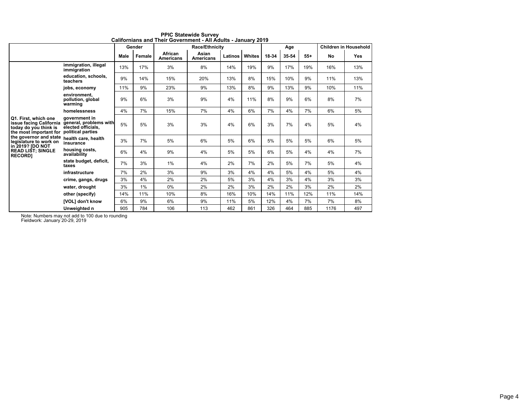|                                                                                                    |                                                                                    |      | Gender |                             | <b>Race/Ethnicity</b> |         |        |       | Age   |       |           | <b>Children in Household</b> |
|----------------------------------------------------------------------------------------------------|------------------------------------------------------------------------------------|------|--------|-----------------------------|-----------------------|---------|--------|-------|-------|-------|-----------|------------------------------|
|                                                                                                    |                                                                                    | Male | Female | African<br><b>Americans</b> | Asian<br>Americans    | Latinos | Whites | 18-34 | 35-54 | $55+$ | <b>No</b> | <b>Yes</b>                   |
|                                                                                                    | immigration, illegal<br>immigration                                                | 13%  | 17%    | 3%                          | 8%                    | 14%     | 19%    | 9%    | 17%   | 19%   | 16%       | 13%                          |
|                                                                                                    | education, schools,<br>teachers                                                    | 9%   | 14%    | 15%                         | 20%                   | 13%     | 8%     | 15%   | 10%   | 9%    | 11%       | 13%                          |
|                                                                                                    | jobs, economy                                                                      | 11%  | 9%     | 23%                         | 9%                    | 13%     | 8%     | 9%    | 13%   | 9%    | 10%       | 11%                          |
|                                                                                                    | environment.<br>pollution, global<br>warming                                       | 9%   | 6%     | 3%                          | 9%                    | 4%      | 11%    | 8%    | 9%    | 6%    | 8%        | 7%                           |
|                                                                                                    | homelessness                                                                       | 4%   | 7%     | 15%                         | 7%                    | 4%      | 6%     | 7%    | 4%    | 7%    | 6%        | 5%                           |
| Q1. First, which one<br>issue facing California<br>today do you think is<br>the most important for | government in<br>general, problems with<br>elected officials.<br>political parties | 5%   | 5%     | 3%                          | 3%                    | 4%      | 6%     | 3%    | 7%    | 4%    | 5%        | 4%                           |
| the governor and state<br>legislature to work on<br>in 2019? [DO NOT                               | health care, health<br>insurance                                                   | 3%   | 7%     | 5%                          | 6%                    | 5%      | 6%     | 5%    | 5%    | 5%    | 6%        | 5%                           |
| READ LIŠT; SINGLE<br><b>RECORD1</b>                                                                | housing costs,<br>availability                                                     | 6%   | 4%     | 9%                          | 4%                    | 5%      | 5%     | 6%    | 5%    | 4%    | 4%        | 7%                           |
|                                                                                                    | state budget, deficit,<br>taxes                                                    | 7%   | 3%     | 1%                          | 4%                    | 2%      | 7%     | 2%    | 5%    | 7%    | 5%        | 4%                           |
|                                                                                                    | infrastructure                                                                     | 7%   | 2%     | 3%                          | 9%                    | 3%      | 4%     | 4%    | 5%    | 4%    | 5%        | 4%                           |
|                                                                                                    | crime, gangs, drugs                                                                | 3%   | 4%     | 2%                          | 2%                    | 5%      | 3%     | 4%    | 3%    | 4%    | 3%        | 3%                           |
|                                                                                                    | water, drought                                                                     | 3%   | 1%     | 0%                          | 2%                    | 2%      | 3%     | 2%    | 2%    | 3%    | 2%        | 2%                           |
|                                                                                                    | other (specify)                                                                    | 14%  | 11%    | 10%                         | 8%                    | 16%     | 10%    | 14%   | 11%   | 12%   | 11%       | 14%                          |
|                                                                                                    | [VOL] don't know                                                                   | 6%   | 9%     | 6%                          | 9%                    | 11%     | 5%     | 12%   | 4%    | 7%    | 7%        | 8%                           |
|                                                                                                    | Unweighted n                                                                       | 905  | 784    | 106                         | 113                   | 462     | 861    | 326   | 464   | 885   | 1176      | 497                          |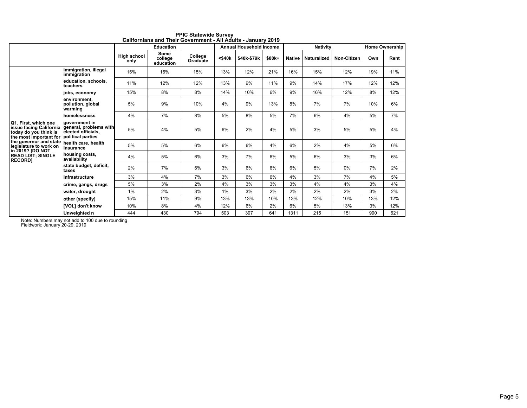|                                                                                                    |                                                                                    |                            | <b>Education</b>             |                     |              | <b>Annual Household Income</b> |        |               | <b>Nativity</b> |                    |     | <b>Home Ownership</b> |
|----------------------------------------------------------------------------------------------------|------------------------------------------------------------------------------------|----------------------------|------------------------------|---------------------|--------------|--------------------------------|--------|---------------|-----------------|--------------------|-----|-----------------------|
|                                                                                                    |                                                                                    | <b>High school</b><br>only | Some<br>college<br>education | College<br>Graduate | $<$ \$40 $k$ | \$40k-\$79k                    | \$80k+ | <b>Native</b> | Naturalized     | <b>Non-Citizen</b> | Own | Rent                  |
|                                                                                                    | immigration, illegal<br>immigration                                                | 15%                        | 16%                          | 15%                 | 13%          | 12%                            | 21%    | 16%           | 15%             | 12%                | 19% | 11%                   |
|                                                                                                    | education, schools,<br>teachers                                                    | 11%                        | 12%                          | 12%                 | 13%          | 9%                             | 11%    | 9%            | 14%             | 17%                | 12% | 12%                   |
|                                                                                                    | jobs, economy                                                                      | 15%                        | 8%                           | 8%                  | 14%          | 10%                            | 6%     | 9%            | 16%             | 12%                | 8%  | 12%                   |
|                                                                                                    | environment.<br>pollution, global<br>warming                                       | 5%                         | 9%                           | 10%                 | 4%           | 9%                             | 13%    | 8%            | 7%              | 7%                 | 10% | 6%                    |
|                                                                                                    | homelessness                                                                       | 4%                         | 7%                           | 8%                  | 5%           | 8%                             | 5%     | 7%            | 6%              | 4%                 | 5%  | 7%                    |
| Q1. First, which one<br>issue facing California<br>today do you think is<br>the most important for | government in<br>general, problems with<br>elected officials.<br>political parties | 5%                         | 4%                           | 5%                  | 6%           | 2%                             | 4%     | 5%            | 3%              | 5%                 | 5%  | 4%                    |
| the governor and state<br>legislature to work on<br>in 2019? [DO NOT                               | health care, health<br>insurance                                                   | 5%                         | 5%                           | 6%                  | 6%           | 6%                             | 4%     | 6%            | 2%              | 4%                 | 5%  | 6%                    |
| READ LIŠT; SINGLE<br><b>RECORD1</b>                                                                | housing costs,<br>availability                                                     | 4%                         | 5%                           | 6%                  | 3%           | 7%                             | 6%     | 5%            | 6%              | 3%                 | 3%  | 6%                    |
|                                                                                                    | state budget, deficit,<br>taxes                                                    | 2%                         | 7%                           | 6%                  | 3%           | 6%                             | 6%     | 6%            | 5%              | $0\%$              | 7%  | 2%                    |
|                                                                                                    | infrastructure                                                                     | 3%                         | 4%                           | 7%                  | 3%           | 6%                             | 6%     | 4%            | 3%              | 7%                 | 4%  | 5%                    |
|                                                                                                    | crime, gangs, drugs                                                                | 5%                         | 3%                           | 2%                  | 4%           | 3%                             | 3%     | 3%            | 4%              | 4%                 | 3%  | 4%                    |
|                                                                                                    | water, drought                                                                     | 1%                         | 2%                           | 3%                  | 1%           | 3%                             | 2%     | 2%            | 2%              | 2%                 | 3%  | 2%                    |
|                                                                                                    | other (specify)                                                                    | 15%                        | 11%                          | 9%                  | 13%          | 13%                            | 10%    | 13%           | 12%             | 10%                | 13% | 12%                   |
|                                                                                                    | [VOL] don't know                                                                   | 10%                        | 8%                           | 4%                  | 12%          | 6%                             | 2%     | 6%            | 5%              | 13%                | 3%  | 12%                   |
|                                                                                                    | Unweighted n                                                                       | 444                        | 430                          | 794                 | 503          | 397                            | 641    | 1311          | 215             | 151                | 990 | 621                   |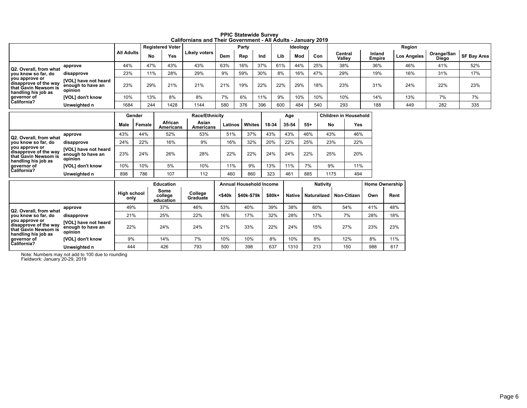| <b>PPIC Statewide Survey</b>                                  |  |
|---------------------------------------------------------------|--|
| Californians and Their Government - All Adults - January 2019 |  |

|                                                                                         |                                                      |                   | Registered Voter |      |               |     | Party |     |     | Ideology |     |                   |                         | Region      |                     |             |
|-----------------------------------------------------------------------------------------|------------------------------------------------------|-------------------|------------------|------|---------------|-----|-------|-----|-----|----------|-----|-------------------|-------------------------|-------------|---------------------|-------------|
|                                                                                         |                                                      | <b>All Adults</b> | No               | Yes  | Likely voters | Dem | Rep   | Ind | Lib | Mod      | Con | Central<br>Vallev | Inland<br><b>Empire</b> | Los Angeles | Orange/San<br>Diego | SF Bay Area |
| Q2. Overall, from what                                                                  | approve                                              | 44%               | 47%              | 43%  | 43%           | 63% | 16%   | 37% | 61% | 44%      | 25% | 38%               | 36%                     | 46%         | 41%                 | 52%         |
| you know so far, do                                                                     | disapprove                                           | 23%               | 11%              | 28%  | 29%           | 9%  | 59%   | 30% | 8%  | 16%      | 47% | 29%               | 19%                     | 16%         | 31%                 | 17%         |
| you approve or<br>disapprove of the way!<br>that Gavin Newsom is<br>handling his job as | [VOL] have not heard<br>enough to have an<br>opinion | 23%               | 29%              | 21%  | 21%           | 21% | 19%   | 22% | 22% | 29%      | 18% | 23%               | 31%                     | 24%         | 22%                 | 23%         |
| governor of<br>California?                                                              | [VOL] don't know                                     | 10%               | 13%              | 8%   | 8%            | 7%  | 6%    | 11% | 9%  | 10%      | 10% | 10%               | 14%                     | 13%         | 7%                  | 7%          |
|                                                                                         | Unweighted n                                         | 1684              | 244              | 1428 | 1144          | 580 | 376   | 396 | 600 | 484      | 540 | 293               | 188                     | 449         | 282                 | 335         |

|                                                                                        |                                                      |      | Gender |                      | <b>Race/Ethnicity</b>     |         |               |       | Age             |       |      | Children in Household |
|----------------------------------------------------------------------------------------|------------------------------------------------------|------|--------|----------------------|---------------------------|---------|---------------|-------|-----------------|-------|------|-----------------------|
|                                                                                        |                                                      | Male | Female | African<br>Americans | Asian<br><b>Americans</b> | Latinos | <b>Whites</b> | 18-34 | 35-54           | $55+$ | No   | Yes                   |
| Q2. Overall, from what                                                                 | approve                                              | 43%  | 44%    | 52%                  | 53%                       | 51%     | 37%           | 43%   | 43%             | 46%   | 43%  | 46%                   |
| you know so far, do                                                                    | disapprove                                           | 24%  | 22%    | 16%                  | 9%                        | 16%     | 32%           | 20%   | 22%             | 25%   | 23%  | 22%                   |
| you approve or<br>disapprove of the way<br>that Gavin Newsom is<br>handling his job as | [VOL] have not heard<br>enough to have an<br>opinion | 23%  | 24%    | 26%                  | 28%                       | 22%     | 22%           | 24%   | 24%             | 22%   | 25%  | 20%                   |
| aovernor of                                                                            | [VOL] don't know                                     | 10%  | 10%    | 5%                   | 10%                       | 11%     | 9%            | 13%   | 11%             | 7%    | 9%   | 11%                   |
| Čalifornia?                                                                            | Unweighted n                                         | 898  | 786    | 107                  | 112                       | 460     | 860           | 323   | 46 <sup>4</sup> | 885   | 1175 | 494                   |

|                                                                                        |                                                      |                     | <b>Education</b>             |                     |              | <b>Annual Household Income</b> |        |               | <b>Nativity</b> |                    |     | Home Ownership |
|----------------------------------------------------------------------------------------|------------------------------------------------------|---------------------|------------------------------|---------------------|--------------|--------------------------------|--------|---------------|-----------------|--------------------|-----|----------------|
|                                                                                        |                                                      | High school<br>only | Some<br>college<br>education | College<br>Graduate | $<$ \$40 $k$ | \$40k-\$79k                    | \$80k+ | <b>Native</b> | Naturalized     | <b>Non-Citizen</b> | Own | Rent           |
| Q2. Overall, from what                                                                 | approve                                              | 49%                 | 37%                          | 46%                 | 53%          | 40%                            | 39%    | 38%           | 60%             | 54%                | 41% | 48%            |
| you know so far, do                                                                    | disapprove                                           | 21%                 | 25%                          | 22%                 | 16%          | 17%                            | 32%    | 28%           | 17%             | 7%                 | 28% | 18%            |
| vou approve or<br>disapprove of the way<br>that Gavin Newsom is<br>handling his job as | [VOL] have not heard<br>enough to have an<br>opinion | 22%                 | 24%                          | 24%                 | 21%          | 33%                            | 22%    | 24%           | 15%             | 27%                | 23% | 23%            |
| I governor of                                                                          | [VOL] don't know                                     | 9%                  | 14%                          | 7%                  | 10%          | 10%                            | 8%     | 10%           | 8%              | 12%                | 8%  | 11%            |
| <b>California?</b>                                                                     | Unweighted n                                         | 444                 | 426                          | 793                 | 500          | 398                            | 637    | 1310          | 213             | 150                | 988 | 617            |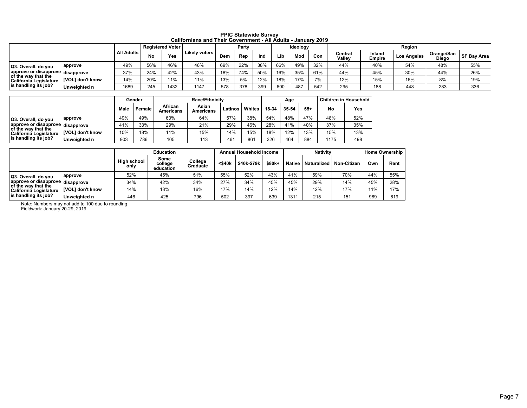|                                                   |                  |                   |     | Registered Voter |               |     | Party |     |     | Ideology |     |                   |                         | Region      |                     |             |
|---------------------------------------------------|------------------|-------------------|-----|------------------|---------------|-----|-------|-----|-----|----------|-----|-------------------|-------------------------|-------------|---------------------|-------------|
|                                                   |                  | <b>All Adults</b> | No  | Yes              | Likely voters | Dem | Rep   | Ind | Lib | Mod      | Con | Central<br>Vallev | Inland<br><b>Empire</b> | Los Angeles | Orange/San<br>Diego | SF Bay Area |
| Q3. Overall, do you                               | approve          | 49%               | 56% | 46%              | 46%           | 69% | 22%   | 38% | 66% | 49%      | 32% | 44%               | 40%                     | 54%         | 48%                 | 55%         |
| approve or disapprove disapprove                  |                  | 37%               | 24% | 42%              | 43%           | 18% | 74%   | 50% | 16% | 35%      | 61% | 44%               | 45%                     | 30%         | 44%                 | 26%         |
| l of the wav that the<br>l California Legislature | [VOL] don't know | 14%               | 20% | 11%              | 11%           | 13% | 5%    | 12% | 18% | 17%      | 7%  | 12%               | 15%                     | 16%         | 8%                  | 19%         |
| is handling its job?                              | Unweighted n     | 1689              | 245 | 1432             | 1147          | 578 | 378   | 399 | 600 | 487      | 542 | 295               | 188                     | 448         | 283                 | 336         |

**PPIC Statewide Survey Californians and Their Government - All Adults - January 2019**

|                                               |                  |      | Gender |                      | <b>Race/Ethnicity</b> |         |        |       | Age   |       | Children in Household |     |
|-----------------------------------------------|------------------|------|--------|----------------------|-----------------------|---------|--------|-------|-------|-------|-----------------------|-----|
|                                               |                  | Male | Female | African<br>Americans | Asian<br>Americans    | Latinos | Whites | 18-34 | 35-54 | $55+$ | No                    | Yes |
| Q3. Overall, do you                           | approve          | 49%  | 49%    | 60%                  | 64%                   | 57%     | 38%    | 54%   | 48%   | 47%   | 48%                   | 52% |
| approve or disapprove                         | disapprove       | 41%  | 33%    | 29%                  | 21%                   | 29%     | 46%    | 28%   | 41%   | 40%   | 37%                   | 35% |
| of the wav that the<br>California Legislature | [VOL] don't know | 10%  | 18%    | 11%                  | 15%                   | 14%     | 15%    | 18%   | 12%   | 13%   | 15%                   | 13% |
| is handling its job?                          | Unweighted n     | 903  | 786    | 105                  | 113                   | 461     | 861    | 326   | 464   | 884   | 1175                  | 498 |

|                                                      |                  |                     | <b>Education</b>             |                     |        | <b>Annual Household Income</b> |        |          | <b>Nativity</b>             |     |     | Home Ownership |
|------------------------------------------------------|------------------|---------------------|------------------------------|---------------------|--------|--------------------------------|--------|----------|-----------------------------|-----|-----|----------------|
|                                                      |                  | High school<br>only | Some<br>college<br>education | College<br>Graduate | <\$40k | 540k-\$79k                     | \$80k+ | Native I | ∣ Naturalized ∣ Non-Citizen |     | Own | Rent           |
| Q3. Overall, do you                                  | approve          | 52%                 | 45%                          | 51%                 | 55%    | 52%                            | 43%    | 41%      | 59%                         | 70% | 44% | 55%            |
| approve or disapprove disapprove                     |                  | 34%                 | 42%                          | 34%                 | 27%    | 34%                            | 45%    | 45%      | 29%                         | 14% | 45% | 28%            |
| of the way that the<br><b>California Legislature</b> | [VOL] don't know | 14%                 | 13%                          | 16%                 | 17%    | 14%                            | 12%    | 14%      | 12%                         | 17% | 11% | 17%            |
| is handling its job?                                 | Unweighted n     | 446                 | 425                          | 796                 | 502    | 397                            | 639    | 1311     | 215                         | 151 | 989 | 619            |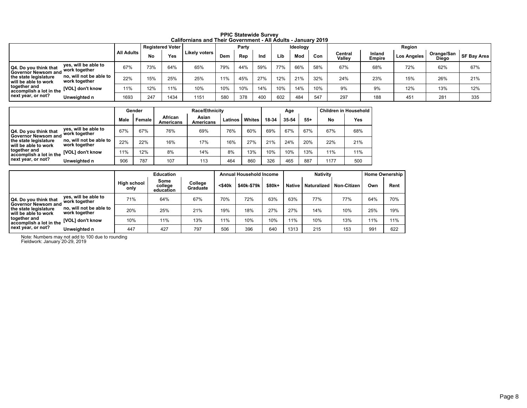|                                                |                                          |            |     | Registered Voter |               |     | Party |      |     | Ideology |     |                   |                         | Region      |                            |             |
|------------------------------------------------|------------------------------------------|------------|-----|------------------|---------------|-----|-------|------|-----|----------|-----|-------------------|-------------------------|-------------|----------------------------|-------------|
|                                                |                                          | All Adults | No  | Yes              | Likely voters | Dem | Rep   | Ind. | ∟ib | Mod      | Con | Central<br>Vallev | Inland<br><b>Empire</b> | Los Angeles | Orange/San<br><b>Diego</b> | SF Bay Area |
| Q4. Do you think that<br>Governor Newsom and   | yes, will be able to<br>work together    | 67%        | 73% | 64%              | 65%           | 79% | 44%   | 59%  | 77% | 66%      | 58% | 67%               | 68%                     | 72%         | 62%                        | 67%         |
| the state legislature<br>will be able to work! | no, will not be able to<br>work together | 22%        | 15% | 25%              | 25%           | 11% | 45%   | 27%  | 12% | 21%      | 32% | 24%               | 23%                     | 15%         | 26%                        | 21%         |
| together and                                   | [VOL] don't know                         | 11%        | 12% | 11%              | 10%           | 10% | 10%   | 14%  | 10% | 14%      | 10% | 9%                | 9%                      | 12%         | 13%                        | 12%         |
| accomplish a lot in the<br>next year, or not?  | Unweighted n                             | 1693       | 247 | 1434             | 1151          | 580 | 378   | 400  | 602 | 484      | 547 | 297               | 188                     | 451         | 281                        | 335         |

|                                               |                                          |      | Gender |                      | <b>Race/Ethnicity</b> |         |        |       | Age   |       |      | Children in Household |
|-----------------------------------------------|------------------------------------------|------|--------|----------------------|-----------------------|---------|--------|-------|-------|-------|------|-----------------------|
|                                               |                                          | Male | Female | African<br>Americans | Asian<br>Americans    | Latinos | Whites | 18-34 | 35-54 | $55+$ | No   | Yes                   |
| Q4. Do you think that<br>Governor Newsom and  | yes, will be able to<br>work together    | 67%  | 67%    | 76%                  | 69%                   | 76%     | 60%    | 69%   | 67%   | 67%   | 67%  | 68%                   |
| the state legislature<br>will be able to work | no, will not be able to<br>work together | 22%  | 22%    | 16%                  | 17%                   | 16%     | 27%    | 21%   | 24%   | 20%   | 22%  | 21%                   |
| ∣ together and<br>accomplish a lot in the     | [VOL] don't know                         | 11%  | 12%    | 8%                   | 14%                   | 8%      | 13%    | 10%   | 10%   | 13%   | 11%  | 11%                   |
| next year, or not?                            | Unweighted n                             | 906  | 787    | 107                  | 113                   | 464     | 860    | 326   | 465   | 887   | 1177 | 500                   |

|                                               |                                          |                     | <b>Education</b>             |                     |        | <b>Annual Household Income</b> |        |               | <b>Nativity</b> |                           |     | Home Ownership |
|-----------------------------------------------|------------------------------------------|---------------------|------------------------------|---------------------|--------|--------------------------------|--------|---------------|-----------------|---------------------------|-----|----------------|
|                                               |                                          | High school<br>only | Some<br>college<br>education | College<br>Graduate | <\$40k | \$40k-\$79k                    | \$80k+ | <b>Native</b> |                 | Naturalized   Non-Citizen | Own | Rent           |
| Q4. Do you think that<br>Governor Newsom and  | yes, will be able to<br>work together    | 71%                 | 64%                          | 67%                 | 70%    | 72%                            | 63%    | 63%           | 77%             | 77%                       | 64% | 70%            |
| the state legislature<br>will be able to work | no, will not be able to<br>work together | 20%                 | 25%                          | 21%                 | 19%    | 18%                            | 27%    | 27%           | 14%             | 10%                       | 25% | 19%            |
| together and<br>accomplish a lot in the       | [VOL] don't know                         | 10%                 | 11%                          | 13%                 | 11%    | 10%                            | 10%    | 11%           | 10%             | 13%                       | 11% | 11%            |
| next year, or not?                            | Unweighted n                             | 447                 | 427                          | 797                 | 506    | 396                            | 640    | 1313          | 215             | 153                       | 991 | 622            |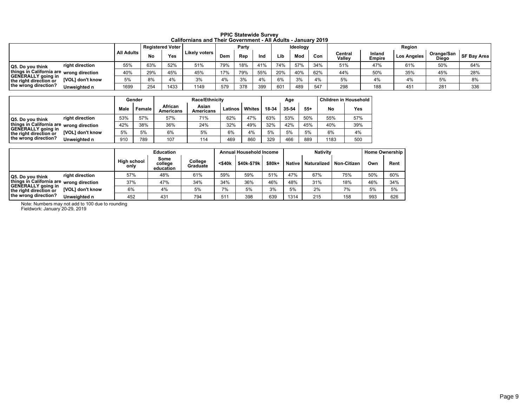|                                              |                  |                   | Registered Voter |      |               |            | Party |     |     | Ideology |     |                   |                         | Region      |                     |             |
|----------------------------------------------|------------------|-------------------|------------------|------|---------------|------------|-------|-----|-----|----------|-----|-------------------|-------------------------|-------------|---------------------|-------------|
|                                              |                  | <b>All Adults</b> | No               | Yes  | Likely voters | <b>Dem</b> | Rep   | Ind | Lib | Mod      | Con | Central<br>Vallev | Inland<br><b>Empire</b> | Los Angeles | Orange/San<br>Diego | SF Bay Area |
| Q5. Do you think                             | right direction  | 55%               | 63%              | 52%  | 51%           | 79%        | 18%   | 41% | 74% | 57%      | 34% | 51%               | 47%                     | 61%         | 50%                 | 64%         |
| things in California are wrong direction     |                  | 40%               | 29%              | 45%  | 45%           | 17%        | 79%   | 55% | 20% | 40%      | 62% | 44%               | 50%                     | 35%         | 45%                 | 28%         |
| GENERALLY going in<br>the right direction or | [VOL] don't know | 5%                | 8%               | 4%   | 3%            | 4%         | 3%    | 4%  | 6%  | 3%       | 4%  | 5%                | 4%                      | 4%          | 5%                  | 8%          |
| the wrong direction?                         | Unweighted n     | 1699              | 254              | 1433 | 1149          | 579        | 378   | 399 | 601 | 489      | 547 | 298               | 188                     | 451         | 281                 | 336         |

**PPIC Statewide Survey Californians and Their Government - All Adults - January 2019**

|                                                     |                  |      | Gender |                      | <b>Race/Ethnicity</b> |         |        |       | Age   |       | Children in Household |     |
|-----------------------------------------------------|------------------|------|--------|----------------------|-----------------------|---------|--------|-------|-------|-------|-----------------------|-----|
|                                                     |                  | Male | Female | African<br>Americans | Asian<br>Americans    | Latinos | Whites | 18-34 | 35-54 | $55+$ | No                    | Yes |
| Q5. Do you think                                    | right direction  | 53%  | 57%    | 57%                  | 71%                   | 62%     | 47%    | 63%   | 53%   | 50%   | 55%                   | 57% |
| things in California are wrong direction            |                  | 42%  | 38%    | 36%                  | 24%                   | 32%     | 49%    | 32%   | 42%   | 45%   | 40%                   | 39% |
| <b>GENERALLY</b> going in<br>the right direction or | [VOL] don't know | 5%   | 5%     | 6%                   | 5%                    | 6%      | 4%     | 5%    | 5%    | 5%    | 6%                    | 4%  |
| the wrong direction?                                | Unweighted n     | 910  | 789    | 107                  | 114                   | 469     | 860    | 329   | 466   | 889   | 1183                  | 500 |

|                                              |                  |                     | <b>Education</b>             |                     |                 | Annual Household Income |        |        | <b>Nativity</b>             |     |     | Home Ownership |
|----------------------------------------------|------------------|---------------------|------------------------------|---------------------|-----------------|-------------------------|--------|--------|-----------------------------|-----|-----|----------------|
|                                              |                  | High school<br>only | Some<br>college<br>education | College<br>Graduate | $<$ \$40 $k$    | \$40k-\$79k             | \$80k+ | Native | ∣ Naturalized ∣ Non-Citizen |     | Own | Rent           |
| Q5. Do you think                             | right direction  | 57%                 | 48%                          | 61%                 | 59%             | 59%                     | 51%    | 47%    | 67%                         | 75% | 50% | 60%            |
| I things in California are wrong direction   |                  | 37%                 | 47%                          | 34%                 | 34%             | 36%                     | 46%    | 48%    | 31%                         | 18% | 46% | 34%            |
| GENERALLY going in<br>the right direction or | [VOL] don't know | 6%                  | 4%                           | 5%                  | 7%              | 5%                      | 3%     | 5%     | 2%                          | 7%  | 5%  | 5%             |
| the wrong direction?                         | Unweiahted n     | 452                 | 431                          | 794                 | 51 <sup>1</sup> | 398                     | 639    | 1314   | 215                         | 158 | 993 | 626            |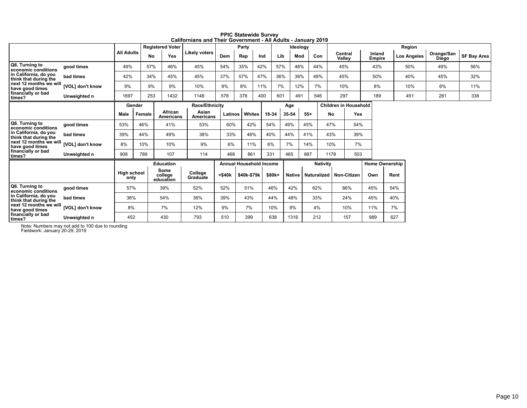|                                                |                  |                            |        | <b>Registered Voter</b>      |                           |              | Party                   |     |            | Ideology      |       |                 |                              |     |                         | Region             |                     |                    |
|------------------------------------------------|------------------|----------------------------|--------|------------------------------|---------------------------|--------------|-------------------------|-----|------------|---------------|-------|-----------------|------------------------------|-----|-------------------------|--------------------|---------------------|--------------------|
|                                                |                  | <b>All Adults</b>          | No     | <b>Yes</b>                   | <b>Likely voters</b>      | <b>Dem</b>   | Rep                     | Ind | <b>Lib</b> | Mod           |       | Con             | Central<br>Vallev            |     | Inland<br><b>Empire</b> | <b>Los Angeles</b> | Orange/San<br>Diego | <b>SF Bay Area</b> |
| Q6. Turning to<br>economic conditions          | good times       | 49%                        | 57%    | 46%                          | 45%                       | 54%          | 35%                     | 42% | 57%        | 48%           |       | 44%             | 45%                          |     | 43%                     | 50%                | 49%                 | 56%                |
| in California, do you<br>think that during the | bad times        | 42%                        | 34%    | 45%                          | 45%                       | 37%          | 57%                     | 47% | 36%        | 39%           |       | 49%             | 45%                          |     | 50%                     | 40%                | 45%                 | 32%                |
| next 12 months we will<br>have good times      | [VOL] don't know | 9%                         | 9%     | 9%                           | 10%                       | 9%           | 8%                      | 11% | 7%         | 12%           |       | 7%              | 10%                          |     | 8%                      | 10%                | 6%                  | 11%                |
| financially or bad<br>times?                   | Unweighted n     | 1697                       | 253    | 1432                         | 1148                      | 578          | 378                     | 400 | 601        | 491           |       | 546             | 297                          |     | 189                     | 451                | 281                 | 338                |
|                                                |                  | Gender                     |        |                              | <b>Race/Ethnicity</b>     |              |                         |     |            | Age           |       |                 | <b>Children in Household</b> |     |                         |                    |                     |                    |
|                                                |                  | Male                       | Female | African<br>Americans         | Asian<br><b>Americans</b> | Latinos      | Whites                  |     | 18-34      | 35-54         | $55+$ |                 | No                           | Yes |                         |                    |                     |                    |
| Q6. Turning to<br>economic conditions          | good times       | 53%                        | 46%    | 41%                          | 53%                       | 60%          | 42%                     |     | 54%        | 49%           | 45%   |                 | 47%                          | 54% |                         |                    |                     |                    |
| in California, do you<br>think that during the | bad times        | 39%                        | 44%    | 49%                          | 38%                       | 33%          | 46%                     |     | 40%        | 44%           | 41%   |                 | 43%                          | 39% |                         |                    |                     |                    |
| next 12 months we will<br>have good times      | [VOL] don't know | 8%                         | 10%    | 10%                          | 9%                        | 6%           | 11%                     |     | 6%         | 7%            | 14%   |                 | 10%                          | 7%  |                         |                    |                     |                    |
| financially or bad<br>times?                   | Unweighted n     | 908                        | 789    | 107                          | 114                       | 468          | 861                     |     | 331        | 465           | 887   | 1178            |                              | 503 |                         |                    |                     |                    |
|                                                |                  |                            |        | <b>Education</b>             |                           |              | Annual Household Income |     |            |               |       | <b>Nativity</b> |                              |     | <b>Home Ownership</b>   |                    |                     |                    |
|                                                |                  | <b>High school</b><br>only |        | Some<br>college<br>education | College<br>Graduate       | $<$ \$40 $k$ | \$40k-\$79k             |     | \$80k+     | <b>Native</b> |       |                 | Naturalized   Non-Citizen    |     | Own                     | Rent               |                     |                    |
| Q6. Turning to<br>economic conditions          | good times       | 57%                        |        | 39%                          | 52%                       | 52%          | 51%                     |     | 46%        | 42%           |       | 62%             | 66%                          |     | 45%                     | 54%                |                     |                    |
| in California, do you<br>think that during the | bad times        | 36%                        |        | 54%                          | 36%                       | 39%          | 43%                     |     | 44%        | 48%           |       | 33%             | 24%                          |     | 45%                     | 40%                |                     |                    |
| next 12 months we will<br>have good times      | [VOL] don't know | 8%                         |        | 7%                           | 12%                       | 9%           | 7%                      |     | 10%        | 9%            |       | 4%              | 10%                          |     | 11%                     | 7%                 |                     |                    |
| financially or bad<br>times?                   | Unweighted n     | 452                        |        | 430                          | 793                       | 510          | 399                     |     | 638        | 1316          |       | 212             | 157                          | 989 |                         | 627                |                     |                    |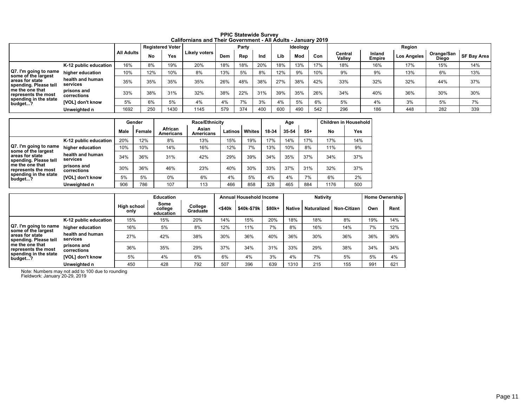|                                              |                              |                   |           | <b>Registered Voter</b> |                 |     | Party |     |     | Ideology |     |                   |                         | Region      |                     |             |
|----------------------------------------------|------------------------------|-------------------|-----------|-------------------------|-----------------|-----|-------|-----|-----|----------|-----|-------------------|-------------------------|-------------|---------------------|-------------|
|                                              |                              | <b>All Adults</b> | <b>No</b> | Yes                     | Likely voters I | Dem | Rep   | Ind | Lib | Mod      | Con | Central<br>Vallev | Inland<br><b>Empire</b> | Los Angeles | Orange/San<br>Diego | SF Bay Area |
|                                              | K-12 public education        | 16%               | 8%        | 19%                     | 20%             | 18% | 18%   | 20% | 18% | 13%      | 17% | 18%               | 16%                     | 17%         | 15%                 | 14%         |
| Q7. I'm going to name<br>some of the largest | higher education             | 10%               | 12%       | 10%                     | 8%              | 13% | 5%    | 8%  | 12% | 9%       | 10% | 9%                | 9%                      | 13%         | 6%                  | 13%         |
| areas for state<br>spending. Please tell     | health and human<br>services | 35%               | 35%       | 35%                     | 35%             | 26% | 48%   | 38% | 27% | 38%      | 42% | 33%               | 32%                     | 32%         | 44%                 | 37%         |
| me the one that<br>represents the most       | prisons and<br>corrections   | 33%               | 38%       | 31%                     | 32%             | 38% | 22%   | 31% | 39% | 35%      | 26% | 34%               | 40%                     | 36%         | 30%                 | 30%         |
| spending in the state<br>budget?             | [VOL] don't know             | 5%                | 6%        | 5%                      | 4%              | 4%  | 7%    | 3%  | 4%  | 5%       | 6%  | 5%                | 4%                      | 3%          | 5%                  | 7%          |
|                                              | Unweighted n                 | 1692              | 250       | 1430                    | 1145            | 579 | 374   | 400 | 600 | 490      | 542 | 296               | 186                     | 448         | 282                 | 339         |

|                                              |                              |      | Gender |                      | <b>Race/Ethnicity</b> |         |        |       | Age   |       |      | Children in Household |
|----------------------------------------------|------------------------------|------|--------|----------------------|-----------------------|---------|--------|-------|-------|-------|------|-----------------------|
|                                              |                              | Male | Female | African<br>Americans | Asian<br>Americans    | Latinos | Whites | 18-34 | 35-54 | $55+$ | No   | <b>Yes</b>            |
|                                              | K-12 public education        | 20%  | 12%    | 8%                   | 13%                   | 15%     | 19%    | 17%   | 14%   | 17%   | 17%  | 14%                   |
| Q7. I'm going to name<br>some of the largest | higher education             | 10%  | 10%    | 14%                  | 16%                   | 12%     | 7%     | 13%   | 10%   | 8%    | 11%  | 9%                    |
| l areas for state<br>spending. Please tell   | health and human<br>services | 34%  | 36%    | 31%                  | 42%                   | 29%     | 39%    | 34%   | 35%   | 37%   | 34%  | 37%                   |
| l me the one that<br>represents the most     | prisons and<br>corrections   | 30%  | 36%    | 46%                  | 23%                   | 40%     | 30%    | 33%   | 37%   | 31%   | 32%  | 37%                   |
| I spending in the state<br>budget?           | [VOL] don't know             | 5%   | 5%     | 0%                   | 6%                    | 4%      | 5%     | 4%    | 4%    | 7%    | 6%   | 2%                    |
|                                              | Unweighted n                 | 906  | 786    | 107                  | 113                   | 466     | 858    | 328   | 465   | 884   | 1176 | 500                   |

|                                                                 |                              |                     | <b>Education</b>             |                     |              | <b>Annual Household Income</b> |        |               | <b>Nativity</b> |                           |     | Home Ownership |
|-----------------------------------------------------------------|------------------------------|---------------------|------------------------------|---------------------|--------------|--------------------------------|--------|---------------|-----------------|---------------------------|-----|----------------|
|                                                                 |                              | High school<br>only | Some<br>college<br>education | College<br>Graduate | $<$ \$40 $k$ | \$40k-\$79k                    | \$80k+ | <b>Native</b> |                 | Naturalized   Non-Citizen | Own | Rent           |
|                                                                 | K-12 public education        | 15%                 | 15%                          | 20%                 | 14%          | 15%                            | 20%    | 18%           | 18%             | 8%                        | 19% | 14%            |
| Q7. I'm going to name                                           | higher education             | 16%                 | 5%                           | 8%                  | 12%          | 11%                            | 7%     | 8%            | 16%             | 14%                       | 7%  | 12%            |
| some of the largest<br>areas for state<br>spending. Please tell | health and human<br>services | 27%                 | 42%                          | 38%                 | 30%          | 36%                            | 40%    | 36%           | 30%             | 36%                       | 36% | 36%            |
| me the one that<br>represents the most                          | prisons and<br>corrections   | 36%                 | 35%                          | 29%                 | 37%          | 34%                            | 31%    | 33%           | 29%             | 38%                       | 34% | 34%            |
| spending in the state<br>budget?                                | [VOL] don't know             | 5%                  | 4%                           | 6%                  | 6%           | 4%                             | 3%     | 4%            | 7%              | 5%                        | 5%  | 4%             |
|                                                                 | Unweighted n                 | 450                 | 428                          | 792                 | 507          | 396                            | 639    | 1310          | 215             | 155                       | 991 | 621            |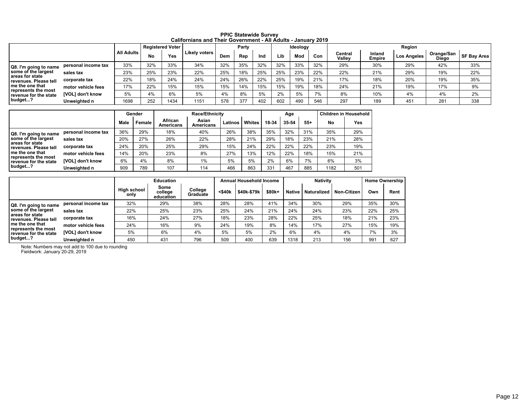|                                              |                     |                   | <b>Registered Voter</b> |      |               |     | Party |     |     | Ideology |     |                   |                         | Region      |                     |                    |
|----------------------------------------------|---------------------|-------------------|-------------------------|------|---------------|-----|-------|-----|-----|----------|-----|-------------------|-------------------------|-------------|---------------------|--------------------|
|                                              |                     | <b>All Adults</b> | No                      | Yes  | Likely voters | Dem | Rep   | Ind | Lib | Mod      | Con | Central<br>Vallev | Inland<br><b>Empire</b> | Los Angeles | Orange/San<br>Diego | <b>SF Bay Area</b> |
| Q8. I'm going to name                        | personal income tax | 33%               | 32%                     | 33%  | 34%           | 32% | 35%   | 32% | 32% | 33%      | 32% | 29%               | 30%                     | 29%         | 42%                 | 33%                |
| some of the largest                          | sales tax           | 23%               | 25%                     | 23%  | 22%           | 25% | 18%   | 25% | 25% | 23%      | 22% | 22%               | 21%                     | 29%         | 19%                 | 22%                |
| areas for state<br>revenues. Please tell     | corporate tax       | 22%               | 18%                     | 24%  | 24%           | 24% | 26%   | 22% | 25% | 19%      | 21% | 17%               | 18%                     | 20%         | 19%                 | 35%                |
| me the one that                              | motor vehicle fees  | 17%               | 22%                     | 15%  | 15%           | 15% | 14%   | 15% | 15% | 19%      | 18% | 24%               | 21%                     | 19%         | 17%                 | 9%                 |
| represents the most<br>revenue for the state | [VOL] don't know    | 5%                | 4%                      | 6%   | 5%            | 4%  | 8%    | 5%  | 2%  | 5%       | 7%  | 8%                | 10%                     | 4%          | 4%                  | 2%                 |
| budget?                                      | Unweighted n        | 1698              | 252                     | 1434 | 1151          | 578 | 377   | 402 | 602 | 490      | 546 | 297               | 189                     | 451         | 281                 | 338                |

|                                              |                     |      | Gender |                      | <b>Race/Ethnicity</b> |         |        |       | Age   |       | Children in Household |            |
|----------------------------------------------|---------------------|------|--------|----------------------|-----------------------|---------|--------|-------|-------|-------|-----------------------|------------|
|                                              |                     | Male | Female | African<br>Americans | Asian<br>Americans    | Latinos | Whites | 18-34 | 35-54 | $55+$ | No                    | <b>Yes</b> |
| Q8. I'm going to name                        | personal income tax | 36%  | 29%    | 18%                  | 40%                   | 26%     | 38%    | 35%   | 32%   | 31%   | 35%                   | 29%        |
| some of the largest                          | sales tax           | 20%  | 27%    | 26%                  | 22%                   | 28%     | 21%    | 29%   | 18%   | 23%   | 21%                   | 28%        |
| areas for state<br>revenues. Please tell     | corporate tax       | 24%  | 20%    | 25%                  | 29%                   | 15%     | 24%    | 22%   | 22%   | 22%   | 23%                   | 19%        |
| me the one that                              | motor vehicle fees  | 14%  | 20%    | 23%                  | 8%                    | 27%     | 13%    | 12%   | 22%   | 18%   | 15%                   | 21%        |
| represents the most<br>revenue for the state | [VOL] don't know    | 6%   | 4%     | 8%                   | $1\%$                 | 5%      | 5%     | 2%    | 6%    | 7%    | 6%                    | 3%         |
| budget?                                      | Unweighted n        | 909  | 789    | 107                  | 114                   | 466     | 863    | 331   | 467   | 885   | 1182                  | 501        |

|                                                |                     |                     | <b>Education</b>             |                     |              | Annual Household Income |        |               | <b>Nativity</b> |             |     | Home Ownership |
|------------------------------------------------|---------------------|---------------------|------------------------------|---------------------|--------------|-------------------------|--------|---------------|-----------------|-------------|-----|----------------|
|                                                |                     | High school<br>only | Some<br>college<br>education | College<br>Graduate | $<$ \$40 $k$ | \$40k-\$79k             | \$80k+ | <b>Native</b> | Naturalized     | Non-Citizen | Own | Rent           |
| Q8. I'm going to name                          | personal income tax | 32%                 | 29%                          | 38%                 | 28%          | 28%                     | 41%    | 34%           | 30%             | 29%         | 35% | 30%            |
| some of the largest                            | sales tax           | 22%                 | 25%                          | 23%                 | 25%          | 24%                     | 21%    | 24%           | 24%             | 23%         | 22% | 25%            |
| areas for state<br>l revenues. Please tell     | corporate tax       | 16%                 | 24%                          | 27%                 | 18%          | 23%                     | 28%    | 22%           | 25%             | 18%         | 21% | 23%            |
| l me the one that                              | motor vehicle fees  | 24%                 | 16%                          | 9%                  | 24%          | 19%                     | 8%     | 14%           | 17%             | 27%         | 15% | 19%            |
| represents the most<br>l revenue for the state | [VOL] don't know    | 5%                  | 6%                           | 4%                  | 5%           | 5%                      | 2%     | 6%            | 4%              | 4%          | 7%  | 3%             |
| budget?                                        | Unweiahted n        | 450                 | 431                          | 796                 | 509          | 400                     | 639    | 1318          | 213             | 156         | 991 | 627            |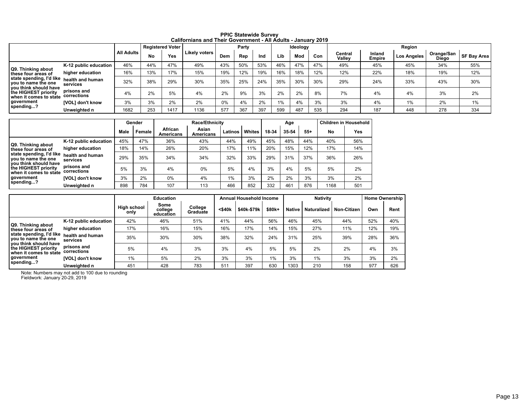|                                                                          |                              |                   |     | Registered Voter |               |     | Party |     |       | Ideology |     |                   |                         | Region      |                     |                    |
|--------------------------------------------------------------------------|------------------------------|-------------------|-----|------------------|---------------|-----|-------|-----|-------|----------|-----|-------------------|-------------------------|-------------|---------------------|--------------------|
|                                                                          |                              | <b>All Adults</b> | No  | <b>Yes</b>       | Likely voters | Dem | Rep   | Ind | Lib   | Mod      | Con | Central<br>Vallev | Inland<br><b>Empire</b> | Los Angeles | Orange/San<br>Diego | <b>SF Bay Area</b> |
| Q9. Thinking about                                                       | K-12 public education        | 46%               | 44% | 47%              | 49%           | 43% | 50%   | 53% | 46%   | 47%      | 47% | 49%               | 45%                     | 45%         | 34%                 | 55%                |
| these four areas of                                                      | higher education             | 16%               | 13% | 17%              | 15%           | 19% | 12%   | 19% | 16%   | 18%      | 12% | 12%               | 22%                     | 18%         | 19%                 | 12%                |
| state spending, I'd like<br>you to name the one<br>vou think should have | health and human<br>services | 32%               | 38% | 29%              | 30%           | 35% | 25%   | 24% | 35%   | 30%      | 30% | 29%               | 24%                     | 33%         | 43%                 | 30%                |
| the HIGHEST priority<br>when it comes to state                           | prisons and<br>corrections   | 4%                | 2%  | 5%               | 4%            | 2%  | 9%    | 3%  | 2%    | 2%       | 8%  | 7%                | 4%                      | 4%          | 3%                  | 2%                 |
| government                                                               | [VOL] don't know             | 3%                | 3%  | 2%               | 2%            | 0%  | 4%    | 2%  | $1\%$ | 4%       | 3%  | 3%                | 4%                      | $1\%$       | 2%                  | 1%                 |
| spending?                                                                | Unweighted n                 | 1682              | 253 | 1417             | 1136          | 577 | 367   | 397 | 599   | 487      | 535 | 294               | 187                     | 448         | 278                 | 334                |

|                                                                          |                              |          | Gender |                      | <b>Race/Ethnicity</b> |         |               |       | Age             |     |      | <b>Children in Household</b> |
|--------------------------------------------------------------------------|------------------------------|----------|--------|----------------------|-----------------------|---------|---------------|-------|-----------------|-----|------|------------------------------|
|                                                                          |                              | Male     | Female | African<br>Americans | Asian<br>Americans    | Latinos | <b>Whites</b> | 18-34 | 35-54           | 55+ | No   | Yes                          |
| Q9. Thinking about                                                       | K-12 public education        | 45%      | 47%    | 36%                  | 43%                   | 44%     | 49%           | 45%   | 48%             | 44% | 40%  | 56%                          |
| l these four areas of                                                    | higher education             | 18%      | 14%    | 26%                  | 20%                   | 17%     | 11%           | 20%   | 15%             | 12% | 17%  | 14%                          |
| state spending, I'd like<br>vou to name the one<br>vou think should have | health and human<br>services | 29%      | 35%    | 34%                  | 34%                   | 32%     | 33%           | 29%   | 31%             | 37% | 36%  | 26%                          |
| the HIGHEST priority<br>l when it comes to state                         | prisons and<br>corrections   | 5%       | 3%     | 4%                   | $0\%$                 | 5%      | 4%            | 3%    | 4%              | 5%  | 5%   | 2%                           |
| ∣ government                                                             | [VOL] don't know             | 2%<br>3% |        | $0\%$                | 4%                    | 1%      | 3%            | 2%    | 2%              | 3%  | 3%   | 2%                           |
| spending?                                                                | Unweighted n                 | 898      | 784    | 107                  | 113                   | 466     | 852           | 332   | 46 <sup>′</sup> | 876 | 1168 | 501                          |

|                                                                         |                              |                     | <b>Education</b>             |                     |              | <b>Annual Household Income</b> |        |               | <b>Nativity</b> |                           |     | Home Ownership |
|-------------------------------------------------------------------------|------------------------------|---------------------|------------------------------|---------------------|--------------|--------------------------------|--------|---------------|-----------------|---------------------------|-----|----------------|
|                                                                         |                              | High school<br>only | Some<br>college<br>education | College<br>Graduate | $<$ \$40 $k$ | \$40k-\$79k                    | \$80k+ | <b>Native</b> |                 | Naturalized   Non-Citizen | Own | Rent           |
|                                                                         | K-12 public education        | 42%                 | 46%                          | 51%                 | 41%          | 44%                            | 56%    | 46%           | 45%             | 44%                       | 52% | 40%            |
| Q9. Thinking about<br>these four areas of                               | higher education             | 17%                 | 16%                          | 15%                 | 16%          | 17%                            | 14%    | 15%           | 27%             | 11%                       | 12% | 19%            |
| state spending, I'd like<br>you to name the one                         | health and human<br>services | 35%                 | 30%                          | 30%                 | 38%          | 32%                            | 24%    | 31%           | 25%             | 39%                       | 28% | 36%            |
| you think should have<br>the HIGHEST priority<br>when it comes to state | prisons and<br>corrections   | 5%                  | 4%                           | 3%                  | 3%           | 4%                             | 5%     | 5%            | 2%              | 2%                        | 4%  | 3%             |
| government<br>spending?                                                 | [VOL] don't know             | $1\%$               | 5%                           | 2%                  | 3%           | 3%                             | 1%     | 3%            | $1\%$           | 3%                        | 3%  | 2%             |
|                                                                         | Unweighted n                 | 451                 | 428                          | 783                 | 511          | 397                            | 630    | 1303          | 210             | 158                       | 977 | 626            |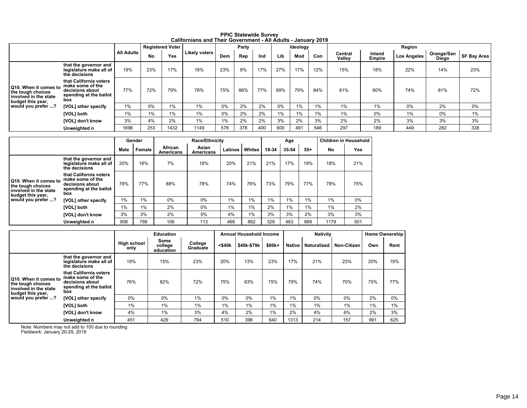|                                                                                          |                                                                                                |            | <b>Registered Voter</b> |            |                      |            | Party |     |       | Ideology |     |                   |                         | Region      |                     |             |
|------------------------------------------------------------------------------------------|------------------------------------------------------------------------------------------------|------------|-------------------------|------------|----------------------|------------|-------|-----|-------|----------|-----|-------------------|-------------------------|-------------|---------------------|-------------|
|                                                                                          |                                                                                                | All Adults | <b>No</b>               | <b>Yes</b> | <b>Likely voters</b> | <b>Dem</b> | Rep   | Ind | Lib   | Mod      | Con | Central<br>Vallev | Inland<br><b>Empire</b> | Los Angeles | Orange/San<br>Diego | SF Bay Area |
|                                                                                          | that the governor and<br>legislature make all of<br>the decisions                              | 19%        | 23%                     | 17%        | 18%                  | 23%        | 8%    | 17% | 27%   | 17%      | 12% | 15%               | 18%                     | 22%         | 14%                 | 23%         |
| Q10. When it comes to<br>the tough choices<br>involved in the state<br>budget this year, | that California voters<br>make some of the<br>decisions about<br>spending at the ballot<br>box | 77%        | 72%                     | 79%        | 78%                  | 75%        | 86%   | 77% | 69%   | 79%      | 84% | 81%               | 80%                     | 74%         | 81%                 | 72%         |
| would you prefer ?                                                                       | [VOL] other specify                                                                            | 1%         | 0%                      | 1%         | 1%                   | 0%         | 2%    | 2%  | $0\%$ | 1%       | 1%  | 1%                | 1%                      | 0%          | 2%                  | 0%          |
|                                                                                          | [VOL] both                                                                                     | 1%         | $1\%$                   | $1\%$      | 1%                   | 0%         | 2%    | 2%  | 1%    | 1%       | 1%  | 1%                | $0\%$                   | 1%          | $0\%$               | 1%          |
|                                                                                          | [VOL] don't know                                                                               | 3%         | 4%                      | 2%         | 1%                   | 1%         | 2%    | 2%  | 3%    | 2%       | 3%  | 2%                | 2%                      | 3%          | 3%                  | 3%          |
|                                                                                          | Unweighted n                                                                                   | 1696       | 253                     | 1432       | 1149                 | 578        | 378   | 400 | 600   | 491      | 546 | 297               | 189                     | 449         | 282                 | 338         |

|                                                                                          |                                                                                                | Gender |        |                             | <b>Race/Ethnicity</b>     |         |        |       | Age   |       | <b>Children in Household</b> |            |
|------------------------------------------------------------------------------------------|------------------------------------------------------------------------------------------------|--------|--------|-----------------------------|---------------------------|---------|--------|-------|-------|-------|------------------------------|------------|
|                                                                                          |                                                                                                | Male   | Female | African<br><b>Americans</b> | Asian<br><b>Americans</b> | Latinos | Whites | 18-34 | 35-54 | $55+$ | No                           | <b>Yes</b> |
|                                                                                          | that the governor and<br>legislature make all of<br>the decisions                              | 20%    | 18%    | 7%                          | 18%                       | 20%     | 21%    | 21%   | 17%   | 19%   | 18%                          | 21%        |
| Q10. When it comes to<br>the tough choices<br>involved in the state<br>budget this year, | that California voters<br>make some of the<br>decisions about<br>spending at the ballot<br>box | 76%    | 77%    | 88%                         | 78%                       | 74%     | 76%    | 73%   | 79%   | 77%   | 78%                          | 75%        |
| would you prefer ?                                                                       | [VOL] other specify                                                                            | $1\%$  | 1%     | $0\%$                       | $0\%$                     | 1%      | 1%     | 1%    | $1\%$ | 1%    | $1\%$                        | 0%         |
|                                                                                          | <b>IVOLI</b> both                                                                              | $1\%$  | 1%     | 2%                          | $0\%$                     | 1%      | 1%     | 2%    | $1\%$ | $1\%$ | 1%                           | 2%         |
|                                                                                          | [VOL] don't know                                                                               | 3%     | 3%     | 2%                          | 5%                        | 4%      | 1%     | 3%    | 3%    | 2%    | 3%                           | 3%         |
|                                                                                          | Unweighted n                                                                                   | 908    | 788    | 106                         | 113                       | 466     | 862    | 329   | 463   | 889   | 1179                         | 501        |

|                                                                                          |                                                                                                |                     | <b>Education</b>             |                     |              | <b>Annual Household Income</b> |        |               | <b>Nativity</b> |                    |     | Home Ownership |
|------------------------------------------------------------------------------------------|------------------------------------------------------------------------------------------------|---------------------|------------------------------|---------------------|--------------|--------------------------------|--------|---------------|-----------------|--------------------|-----|----------------|
|                                                                                          |                                                                                                | High school<br>only | Some<br>college<br>education | College<br>Graduate | $<$ \$40 $k$ | \$40k-\$79k                    | \$80k+ | <b>Native</b> | Naturalized     | <b>Non-Citizen</b> | Own | Rent           |
|                                                                                          | that the governor and<br>legislature make all of<br>the decisions                              | 19%                 | 15%                          | 23%                 | 20%          | 13%                            | 23%    | 17%           | 21%             | 23%                | 20% | 19%            |
| Q10. When it comes to<br>the tough choices<br>involved in the state<br>budget this year, | that California voters<br>make some of the<br>decisions about<br>spending at the ballot<br>box | 76%                 | 82%                          | 72%                 | 75%          | 83%                            | 75%    | 79%           | 74%             | 70%                | 75% | 77%            |
| would you prefer ?                                                                       | [VOL] other specify                                                                            | 0%                  | 0%                           | $1\%$               | 0%           | $0\%$                          | 1%     | 1%            | 0%              | $0\%$              | 2%  | 0%             |
|                                                                                          | [VOL] both                                                                                     | $1\%$               | 1%                           | $1\%$               | 1%           | 1%                             | 1%     | 1%            | 1%              | 1%                 | 1%  | 1%             |
|                                                                                          | [VOL] don't know                                                                               | 4%                  | 1%                           | 3%                  | 4%           | 2%                             | 1%     | 2%            | 4%              | 6%                 | 2%  | 3%             |
|                                                                                          | Unweighted n                                                                                   | 451                 | 429                          | 794                 | 510          | 396                            | 640    | 1313          | 214             | 157                | 991 | 625            |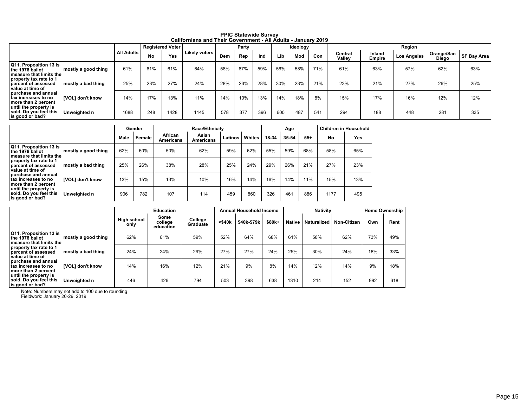| <b>PPIC Statewide Survey</b>                                  |  |
|---------------------------------------------------------------|--|
| Californians and Their Government - All Adults - January 2019 |  |

|                                                                        |                     |            | Registered Voter |            |               |     | Party |     |     | Ideology |     |                   |                         | Region             |                            |             |
|------------------------------------------------------------------------|---------------------|------------|------------------|------------|---------------|-----|-------|-----|-----|----------|-----|-------------------|-------------------------|--------------------|----------------------------|-------------|
|                                                                        |                     | All Adults | No               | <b>Yes</b> | Likely voters | Dem | Rep   | Ind | Lib | Mod      | Con | Central<br>Vallev | Inland<br><b>Empire</b> | <b>Los Angeles</b> | Orange/San<br><b>Diego</b> | SF Bay Area |
| Q11. Proposition 13 is<br>the 1978 ballot<br>I measure that limits the | mostly a good thing | 61%        | 61%              | 61%        | 64%           | 58% | 67%   | 59% | 56% | 58%      | 71% | 61%               | 63%                     | 57%                | 62%                        | 63%         |
| property tax rate to 1<br>l percent of assessed<br>value at time of    | mostly a bad thing  | 25%        | 23%              | 27%        | 24%           | 28% | 23%   | 28% | 30% | 23%      | 21% | 23%               | 21%                     | 27%                | 26%                        | 25%         |
| purchase and annual<br>l tax increases to no<br>more than 2 percent    | [VOL] don't know    | 14%        | 17%              | 13%        | 11%           | 14% | 10%   | 13% | 14% | 18%      | 8%  | 15%               | 17%                     | 16%                | 12%                        | 12%         |
| until the property is<br>sold. Do you feel this<br>is good or bad?     | Unweighted n        | 1688       | 248              | 1428       | 1145          | 578 | 377   | 396 | 600 | 487      | 541 | 294               | 188                     | 448                | 281                        | 335         |

|                                                                      |                     |      | Gender |                      | Race/Ethnicity            |         |        |       | Age   |       |      | Children in Household |
|----------------------------------------------------------------------|---------------------|------|--------|----------------------|---------------------------|---------|--------|-------|-------|-------|------|-----------------------|
|                                                                      |                     | Male | Female | African<br>Americans | Asian<br><b>Americans</b> | Latinos | Whites | 18-34 | 35-54 | $55+$ | No   | Yes                   |
| Q11. Proposition 13 is<br>the 1978 ballot<br>measure that limits the | mostly a good thing | 62%  | 60%    | 50%                  | 62%                       | 59%     | 62%    | 55%   | 59%   | 68%   | 58%  | 65%                   |
| property tax rate to 1<br>percent of assessed<br>value at time of    | mostly a bad thing  | 25%  | 26%    | 38%                  | 28%                       | 25%     | 24%    | 29%   | 26%   | 21%   | 27%  | 23%                   |
| l purchase and annual<br>tax increases to no<br>more than 2 percent  | [VOL] don't know    | 13%  | 15%    | 13%                  | 10%                       | 16%     | 14%    | 16%   | 14%   | 11%   | 15%  | 13%                   |
| until the property is<br>sold. Do you feel this<br>lis good or bad?  | Unweighted n        | 906  | 782    | 107                  | 114                       | 459     | 860    | 326   | 461   | 886   | 1177 | 495                   |

|                                                                        |                     |                     | <b>Education</b>             |                     |              | <b>Annual Household Income</b> |        |               | <b>Nativity</b> |             |     | Home Ownership |
|------------------------------------------------------------------------|---------------------|---------------------|------------------------------|---------------------|--------------|--------------------------------|--------|---------------|-----------------|-------------|-----|----------------|
|                                                                        |                     | High school<br>only | Some<br>college<br>education | College<br>Graduate | $<$ \$40 $k$ | \$40k-\$79k                    | \$80k+ | <b>Native</b> | Naturalized I   | Non-Citizen | Own | Rent           |
| Q11. Proposition 13 is<br>l the 1978 ballot<br>measure that limits the | mostly a good thing | 62%                 | 61%                          | 59%                 | 52%          | 64%                            | 68%    | 61%           | 58%             | 62%         | 73% | 49%            |
| property tax rate to 1<br>percent of assessed<br>value at time of      | mostly a bad thing  | 24%                 | 24%                          | 29%                 | 27%          | 27%                            | 24%    | 25%           | 30%             | 24%         | 18% | 33%            |
| purchase and annual<br>tax increases to no<br>more than 2 percent      | [VOL] don't know    | 14%                 | 16%                          | 12%                 | 21%          | 9%                             | 8%     | 14%           | 12%             | 14%         | 9%  | 18%            |
| until the property is<br>sold. Do you feel this<br>I is good or bad?   | Unweighted n        | 446                 | 426                          | 794                 | 503          | 398                            | 638    | 1310          | 214             | 152         | 992 | 618            |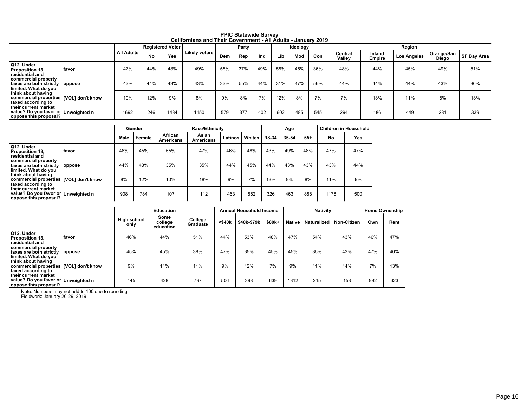| <b>PPIC Statewide Survey</b>                                  |  |
|---------------------------------------------------------------|--|
| Californians and Their Government - All Adults - January 2019 |  |

|                                                                                      |                   |     | Registered Voter |               |     | Party |     |     | ldeology |     |                   |                         | Region      |                     |             |
|--------------------------------------------------------------------------------------|-------------------|-----|------------------|---------------|-----|-------|-----|-----|----------|-----|-------------------|-------------------------|-------------|---------------------|-------------|
|                                                                                      | <b>All Adults</b> | No  | Yes              | Likely voters | Dem | Rep   | Ind | Lib | Mod      | Con | Central<br>Vallev | Inland<br><b>Empire</b> | Los Angeles | Orange/San<br>Diego | SF Bay Area |
| l Q12. Under<br>favor<br>Proposition 13,<br>residential and                          | 47%               | 44% | 48%              | 49%           | 58% | 37%   | 49% | 58% | 45%      | 36% | 48%               | 44%                     | 45%         | 49%                 | 51%         |
| commercial property<br>taxes are both strictly<br>oppose<br>limited. What do you     | 43%               | 44% | 43%              | 43%           | 33% | 55%   | 44% | 31% | 47%      | 56% | 44%               | 44%                     | 44%         | 43%                 | 36%         |
| think about having<br>commercial properties [VOL] don't know<br>taxed according to   | 10%               | 12% | 9%               | 8%            | 9%  | 8%    | 7%  | 12% | 8%       | 7%  | 7%                | 13%                     | 11%         | 8%                  | 13%         |
| their current market<br>value? Do you favor or Unweighted n<br>oppose this proposal? | 1692              | 246 | 1434             | 1150          | 579 | 377   | 402 | 602 | 485      | 545 | 294               | 186                     | 449         | 281                 | 339         |

|                                                                                        |        |      | Gender |                      | <b>Race/Ethnicity</b>     |         |        |       | Age   |       |      | Children in Household |
|----------------------------------------------------------------------------------------|--------|------|--------|----------------------|---------------------------|---------|--------|-------|-------|-------|------|-----------------------|
|                                                                                        |        | Male | Female | African<br>Americans | Asian<br><b>Americans</b> | Latinos | Whites | 18-34 | 35-54 | $55+$ | No   | <b>Yes</b>            |
| l Q12. Under<br><b>Proposition 13.</b><br>l residential and                            | favor  | 48%  | 45%    | 55%                  | 47%                       | 46%     | 48%    | 43%   | 49%   | 48%   | 47%  | 47%                   |
| commercial property<br>taxes are both strictly<br>limited. What do you                 | oppose | 44%  | 43%    | 35%                  | 35%                       | 44%     | 45%    | 44%   | 43%   | 43%   | 43%  | 44%                   |
| think about having<br>commercial properties [VOL] don't know<br>taxed according to     |        | 8%   | 12%    | 10%                  | 18%                       | 9%      | 7%     | 13%   | 9%    | 8%    | 11%  | 9%                    |
| l their current market<br>value? Do you favor or Unweighted n<br>oppose this proposal? |        | 908  | 784    | 107                  | 112                       | 463     | 862    | 326   | 463   | 888   | 1176 | 500                   |

|                                                                                      |        |                     | <b>Education</b>             |                     |        | Annual Household Income |        |               | <b>Nativity</b> |               |     | Home Ownership |
|--------------------------------------------------------------------------------------|--------|---------------------|------------------------------|---------------------|--------|-------------------------|--------|---------------|-----------------|---------------|-----|----------------|
|                                                                                      |        | High school<br>only | Some<br>college<br>education | College<br>Graduate | <\$40k | \$40k-\$79k             | \$80k+ | <b>Native</b> | Naturalized I   | l Non-Citizen | Own | Rent           |
| Q12. Under<br>Proposition 13,<br>residential and                                     | favor  | 46%                 | 44%                          | 51%                 | 44%    | 53%                     | 48%    | 47%           | 54%             | 43%           | 46% | 47%            |
| commercial property<br>taxes are both strictly<br>limited. What do you               | oppose | 45%                 | 45%                          | 38%                 | 47%    | 35%                     | 45%    | 45%           | 36%             | 43%           | 47% | 40%            |
| think about having<br>commercial properties [VOL] don't know<br>taxed according to   |        | 9%                  | 11%                          | 11%                 | 9%     | 12%                     | 7%     | 9%            | 11%             | 14%           | 7%  | 13%            |
| their current market<br>value? Do you favor or Unweighted n<br>oppose this proposal? |        | 445                 | 428                          | 797                 | 506    | 398                     | 639    | 1312          | 215             | 153           | 992 | 623            |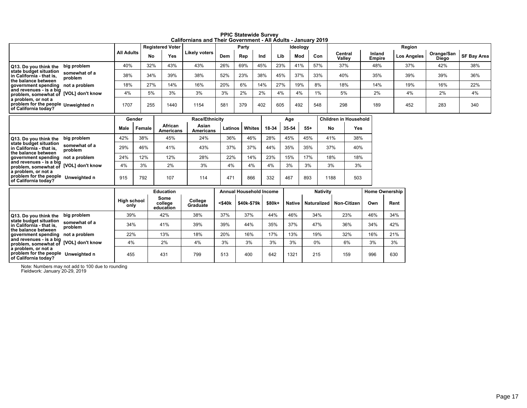|                                                                                    |                          |                            |        | <b>Registered Voter</b>      |                           |            | Party                          |     |            | Ideology      |       |                 |                              |                  |                       | Region      |                     |                    |
|------------------------------------------------------------------------------------|--------------------------|----------------------------|--------|------------------------------|---------------------------|------------|--------------------------------|-----|------------|---------------|-------|-----------------|------------------------------|------------------|-----------------------|-------------|---------------------|--------------------|
|                                                                                    |                          | <b>All Adults</b>          | No     | Yes                          | <b>Likely voters</b>      | <b>Dem</b> | Rep                            | Ind | <b>Lib</b> | Mod           |       | Con             | Central<br>Vallev            | Inland<br>Empire |                       | Los Angeles | Orange/San<br>Diego | <b>SF Bay Area</b> |
| Q13. Do you think the                                                              | big problem              | 40%                        | 32%    | 43%                          | 43%                       | 26%        | 69%                            | 45% | 23%        | 41%           |       | 57%             | 37%                          | 48%              |                       | 37%         | 42%                 | 38%                |
| state budget situation<br>in California - that is,<br>the balance between          | somewhat of a<br>problem | 38%                        | 34%    | 39%                          | 38%                       | 52%        | 23%                            | 38% | 45%        | 37%           |       | 33%             | 40%                          | 35%              |                       | 39%         | 39%                 | 36%                |
| government spending                                                                | not a problem            | 18%                        | 27%    | 14%                          | 16%                       | 20%        | 6%                             | 14% | 27%        | 19%           |       | 8%              | 18%                          | 14%              |                       | 19%         | 16%                 | 22%                |
| and revenues - is a big<br>problem, somewhat of                                    | [VOL] don't know         | 4%                         | 5%     | 3%                           | 3%                        | 3%         | 2%                             | 2%  | 4%         | 4%            |       | 1%              | 5%                           | 2%               |                       | 4%          | 2%                  | 4%                 |
| a problem, or not a<br>problem for the people Unweighted n<br>of California today? |                          | 1707                       | 255    | 1440                         | 1154                      | 581        | 379                            | 402 | 605        | 492           | 548   |                 | 298                          | 189              |                       | 452         | 283                 | 340                |
|                                                                                    |                          | Gender                     |        |                              | Race/Ethnicity            |            |                                |     |            | Age           |       |                 | <b>Children in Household</b> |                  |                       |             |                     |                    |
|                                                                                    |                          | Male                       | Female | African<br><b>Americans</b>  | Asian<br><b>Americans</b> | Latinos    | Whites                         |     | 18-34      | 35-54         | $55+$ | No              | <b>Yes</b>                   |                  |                       |             |                     |                    |
| Q13. Do you think the                                                              | big problem              | 42%                        | 38%    | 45%                          | 24%                       | 36%        | 46%                            |     | 28%        | 45%           | 45%   | 41%             | 38%                          |                  |                       |             |                     |                    |
| state budget situation<br>in California - that is,<br>the balance between          | somewhat of a<br>problem | 29%                        | 46%    | 41%                          | 43%                       | 37%        | 37%                            |     | 44%        | 35%           | 35%   | 37%             | 40%                          |                  |                       |             |                     |                    |
| government spending                                                                | not a problem            | 24%                        | 12%    | 12%                          | 28%                       | 22%        | 14%                            |     | 23%        | 15%           | 17%   | 18%             | 18%                          |                  |                       |             |                     |                    |
| and revenues - is a big<br>problem, somewhat of                                    | [VOL] don't know         | 4%                         | 3%     | 2%                           | 3%                        | 4%         | 4%                             |     | 4%         | 3%            | 3%    | 3%              | 3%                           |                  |                       |             |                     |                    |
| a problem, or not a<br>problem for the people<br>of California today?              | Unweighted n             | 915                        | 792    | 107                          | 114                       | 471        | 866                            |     | 332        | 467           | 893   | 1188            | 503                          |                  |                       |             |                     |                    |
|                                                                                    |                          |                            |        | <b>Education</b>             |                           |            | <b>Annual Household Income</b> |     |            |               |       | <b>Nativity</b> |                              |                  | <b>Home Ownership</b> |             |                     |                    |
|                                                                                    |                          | <b>High school</b><br>only |        | Some<br>college<br>education | College<br>Graduate       | <\$40k     | \$40k-\$79k                    |     | \$80k+     | <b>Native</b> |       |                 | Naturalized   Non-Citizen    | Own              | Rent                  |             |                     |                    |
| Q13. Do you think the                                                              | big problem              | 39%                        |        | 42%                          | 38%                       | 37%        | 37%                            |     | 44%        | 46%           | 34%   |                 | 23%                          | 46%              | 34%                   |             |                     |                    |
| state budget situation<br>in California - that is.<br>the balance between          | somewhat of a<br>problem | 34%                        |        | 41%                          | 39%                       | 39%        | 44%                            |     | 35%        | 37%           | 47%   |                 | 36%                          | 34%              | 42%                   |             |                     |                    |
| government spending                                                                | not a problem            | 22%                        |        | 13%                          | 18%                       | 20%        | 16%                            |     | 17%        | 13%           | 19%   |                 | 32%                          | 16%              | 21%                   |             |                     |                    |
| and revenues - is a big<br>problem, somewhat of [VOL] don't know                   |                          | 4%                         |        | 2%                           | 4%                        | 3%         | 3%                             |     | 3%         | 3%            | 0%    |                 | 6%                           | 3%               | 3%                    |             |                     |                    |
| a problem, or not a<br>problem for the people<br>of California today?              | Unweighted n             | 455                        |        | 431                          | 799                       | 513        | 400                            |     | 642        | 1321          | 215   |                 | 159                          | 996              | 630                   |             |                     |                    |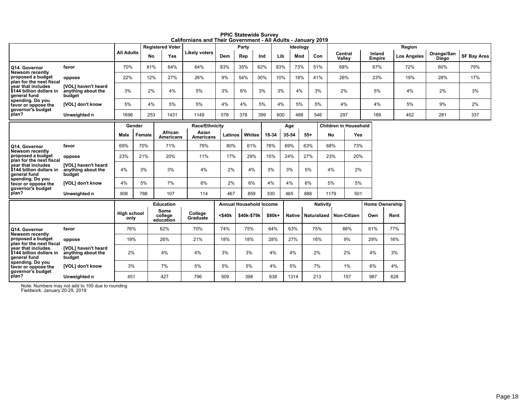|                                                                         |                                                     |                            |           | <b>Registered Voter</b>      |                           |            | Party                   |     |        | Ideology      |       |                 |                           |            |                         |      | Region             |                     |                    |
|-------------------------------------------------------------------------|-----------------------------------------------------|----------------------------|-----------|------------------------------|---------------------------|------------|-------------------------|-----|--------|---------------|-------|-----------------|---------------------------|------------|-------------------------|------|--------------------|---------------------|--------------------|
|                                                                         |                                                     | <b>All Adults</b>          | <b>No</b> | <b>Yes</b>                   | <b>Likelv voters</b>      | <b>Dem</b> | Rep                     | Ind | Lib    | Mod           |       | Con             | Central<br>Valley         |            | Inland<br><b>Empire</b> |      | <b>Los Angeles</b> | Orange/San<br>Diego | <b>SF Bay Area</b> |
| Q14. Governor<br><b>Newsom recently</b>                                 | favor                                               | 70%                        | 81%       | 64%                          | 64%                       | 83%        | 35%                     | 62% | 83%    | 73%           |       | 51%             | 68%                       |            | 67%                     |      | 72%                | 60%                 | 79%                |
| proposed a budget<br>plan for the next fiscal                           | oppose                                              | 22%                        | 12%       | 27%                          | 26%                       | 9%         | 54%                     | 30% | 10%    |               | 18%   | 41%             | 26%                       |            | 23%                     |      | 19%                | 28%                 | 17%                |
| year that includes<br>\$144 billion dollars in<br>general fund          | [VOL] haven't heard<br>anything about the<br>budget | 3%                         | 2%        | 4%                           | 5%                        | 3%         | 6%                      | 3%  | 3%     | 4%            |       | 3%              | 2%                        |            | 5%                      |      | 4%                 | 2%                  | 3%                 |
| spending. Do you<br>favor or oppose the<br>governor's budget            | [VOL] don't know                                    | 5%                         | 4%        | 5%                           | 5%                        | 4%         | 4%                      | 5%  | 4%     | 5%            |       | 5%              | 4%                        |            | 4%                      |      | 5%                 | 9%                  | 2%                 |
| plan?                                                                   | Unweighted n                                        | 1696                       | 253       | 1431                         | 1149                      | 578        | 378                     | 399 | 600    | 488           |       | 546             | 297                       |            | 189                     |      | 452                | 281                 | 337                |
|                                                                         |                                                     | Gender                     |           |                              | Race/Ethnicity            |            |                         |     |        | Age           |       |                 | Children in Household     |            |                         |      |                    |                     |                    |
|                                                                         |                                                     | Male                       | Female    | African<br><b>Americans</b>  | Asian<br><b>Americans</b> | Latinos    | <b>Whites</b>           |     | 18-34  | 35-54         | $55+$ |                 | <b>No</b>                 | <b>Yes</b> |                         |      |                    |                     |                    |
| Q14. Governor                                                           | favor                                               | 69%                        | 70%       | 71%                          | 79%                       | 80%        | 61%                     |     | 78%    | 69%           | 63%   |                 | 68%                       | 73%        |                         |      |                    |                     |                    |
| <b>Newsom recently</b><br>proposed a budget<br>plan for the next fiscal | oppose                                              | 23%                        | 21%       | 20%                          | 11%                       | 17%        | 29%                     |     | 15%    | 24%           | 27%   |                 | 23%                       | 20%        |                         |      |                    |                     |                    |
| vear that includes<br>\$144 billion dollars in<br>general fund          | [VOL] haven't heard<br>anything about the<br>budget | 4%                         | 3%        | 3%                           | 4%                        | 2%         | 4%                      |     | 3%     | 3%            | 5%    |                 | 4%                        | 2%         |                         |      |                    |                     |                    |
| spending. Do you<br>favor or oppose the<br>governor's budget            | [VOL] don't know                                    | 4%                         | 5%        | 7%                           | 6%                        | 2%         | 6%                      |     | 4%     | 4%            | 6%    |                 | 5%                        | 5%         |                         |      |                    |                     |                    |
| plan?                                                                   | Unweighted n                                        | 908                        | 788       | 107                          | 114                       | 467        | 859                     |     | 330    | 465           | 886   |                 | 1179                      | 501        |                         |      |                    |                     |                    |
|                                                                         |                                                     |                            |           | Education                    |                           |            | Annual Household Income |     |        |               |       | <b>Nativity</b> |                           |            | <b>Home Ownership</b>   |      |                    |                     |                    |
|                                                                         |                                                     | <b>High school</b><br>only |           | Some<br>college<br>education | College<br>Graduate       | <\$40k     | \$40k-\$79k             |     | \$80k+ | <b>Native</b> |       |                 | Naturalized   Non-Citizen |            | Own                     | Rent |                    |                     |                    |
| Q14. Governor<br><b>Newsom recently</b>                                 | favor                                               | 76%                        |           | 62%                          | 70%                       | 74%        | 75%                     |     | 64%    | 63%           |       | 75%             | 88%                       |            | 61%                     | 77%  |                    |                     |                    |
| proposed a budget<br>plan for the next fiscal                           | oppose                                              | 19%                        |           | 26%                          | 21%                       | 18%        | 18%                     |     | 28%    | 27%           |       | 16%             | 9%                        |            | 29%                     | 16%  |                    |                     |                    |
| year that includes<br>\$144 billion dollars in<br>general fund          | [VOL] haven't heard<br>anything about the<br>budget | 2%                         |           | 4%                           | 4%                        | 3%         | 3%                      |     | 4%     | 4%            |       | 2%              | 2%                        |            | 4%                      | 3%   |                    |                     |                    |
| spending. Do you<br>favor or oppose the<br>governor's budget            | [VOL] don't know                                    | 3%                         |           | 7%                           | 5%                        | 5%         | 5%                      |     | 4%     | 5%            |       | 7%              | 1%                        |            | 6%                      | 4%   |                    |                     |                    |
| plan?                                                                   | Unweighted n                                        | 451                        |           | 427                          | 796                       | 509        | 398                     |     | 638    | 1314          |       | 213             | 157                       |            | 987                     | 628  |                    |                     |                    |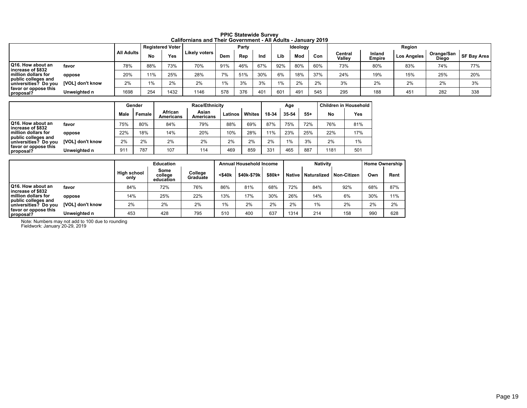|                                               |                         |                   |     | Registered Voter |               |            | Party |     |       | Ideology |     |                   |                         | Region      |                     |               |
|-----------------------------------------------|-------------------------|-------------------|-----|------------------|---------------|------------|-------|-----|-------|----------|-----|-------------------|-------------------------|-------------|---------------------|---------------|
|                                               |                         | <b>All Adults</b> | No  | Yes              | Likely voters | <b>Dem</b> | Rep   | Ind | Lib   | Mod      | Con | Central<br>Vallev | Inland<br><b>Empire</b> | Los Angeles | Orange/San<br>Diego | l SF Bav Area |
| <b>Q16. How about an</b><br>increase of \$832 | favor                   | 78%               | 88% | 73%              | 70%           | 91%        | 46%   | 67% | 92%   | 80%      | 60% | 73%               | 80%                     | 83%         | 74%                 | 77%           |
| million dollars for                           | oppose                  | 20%               | 11% | 25%              | 28%           | 7%         | 51%   | 30% | 6%    | 18%      | 37% | 24%               | 19%                     | 15%         | 25%                 | 20%           |
| public colleges and<br>universities? Do you   | <b>IVOLI don't know</b> | 2%                | 1%  | 2%               | 2%            | 1%         | 3%    | 3%  | $1\%$ | 2%       | 2%  | 3%                | 2%                      | 2%          | 2%                  | 3%            |
| favor or oppose this<br>proposal?             | Unweighted n            | 1698              | 254 | 1432             | 1146          | 578        | 376   | 401 | 601   | 491      | 545 | 295               | 188                     | 451         | 282                 | 338           |

|                                            |                         |      | Gender |                      | <b>Race/Ethnicity</b>     |         |        |       | Age   |       | Children in Household |     |
|--------------------------------------------|-------------------------|------|--------|----------------------|---------------------------|---------|--------|-------|-------|-------|-----------------------|-----|
|                                            |                         | Male | Female | African<br>Americans | Asian<br><b>Americans</b> | Latinos | Whites | 18-34 | 35-54 | $55+$ | No                    | Yes |
| Q16. How about an<br>increase of \$832     | favor                   | 75%  | 80%    | 84%                  | 79%                       | 88%     | 69%    | 87%   | 75%   | 72%   | 76%                   | 81% |
| million dollars for<br>public colleges and | oppose                  | 22%  | 18%    | 14%                  | 20%                       | 10%     | 28%    | 11%   | 23%   | 25%   | 22%                   | 17% |
| universities? Do you                       | <b>IVOLI don't know</b> | 2%   | 2%     | 2%                   | 2%                        | 2%      | 2%     | 2%    | 1%    | 3%    | 2%                    | 1%  |
| favor or oppose this<br>proposal?          | Unweighted n            | 911  | 787    | 107                  | 114                       | 469     | 859    | 331   | 465   | 887   | 1181                  | 501 |

|                                             |                         |                     | <b>Education</b>             |                     |        | Annual Household Income |        |      | <b>Nativity</b>                    |     | <b>Home Ownership</b> |      |
|---------------------------------------------|-------------------------|---------------------|------------------------------|---------------------|--------|-------------------------|--------|------|------------------------------------|-----|-----------------------|------|
|                                             |                         | High school<br>only | Some<br>college<br>education | College<br>Graduate | <\$40k | \$40k-\$79k             | \$80k+ |      | Native   Naturalized   Non-Citizen |     | Own                   | Rent |
| Q16. How about an<br>increase of \$832      | favor                   | 84%                 | 72%                          | 76%                 | 86%    | 81%                     | 68%    | 72%  | 84%                                | 92% | 68%                   | 87%  |
| million dollars for                         | oppose                  | 14%                 | 25%                          | 22%                 | 13%    | 17%                     | 30%    | 26%  | 14%                                | 6%  | 30%                   | 11%  |
| public colleges and<br>universities? Do vou | <b>IVOLI don't know</b> | 2%                  | 2%                           | 2%                  | $1\%$  | 2%                      | 2%     | 2%   | 1%                                 | 2%  | 2%                    | 2%   |
| favor or oppose this<br>∣proposal?          | Unweighted n            | 453                 | 428                          | 795                 | 510    | 400                     | 637    | 1314 | 214                                | 158 | 990                   | 628  |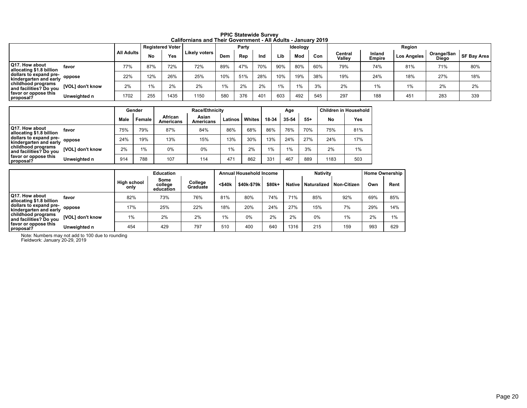|                                                  |                  |              |                  |      | <u> Camorinaris anu Then Government - An Augus - January 2019</u> |     |       |     |     |          |     |                   |                         |             |                      |     |
|--------------------------------------------------|------------------|--------------|------------------|------|-------------------------------------------------------------------|-----|-------|-----|-----|----------|-----|-------------------|-------------------------|-------------|----------------------|-----|
|                                                  |                  |              | Registered Voter |      |                                                                   |     | Party |     |     | Ideology |     |                   |                         | Region      |                      |     |
|                                                  |                  | All Adults I | <b>No</b>        | Yes  | <b>Likely voters</b>                                              | Dem | Rep   | Ind | Lib | Mod      | Con | Central<br>Valley | Inland<br><b>Empire</b> | Los Angeles | SF Bay Are?<br>Diego |     |
| Q17. How about<br>allocating \$1.8 billion       | favor            | 77%          | 87%              | 72%  | 72%                                                               | 89% | 47%   | 70% | 90% | 80%      | 60% | 79%               | 74%                     | 81%         | 71%                  | 80% |
| dollars to expand pre-<br>kindergarten and early | oppose           | 22%          | 12%              | 26%  | 25%                                                               | 10% | 51%   | 28% | 10% | 19%      | 38% | 19%               | 24%                     | 18%         | 27%                  | 18% |
| childhood programs<br>and facilities? Do you     | [VOL] don't know | 2%           | $1\%$            | 2%   | 2%                                                                | 1%  | 2%    | 2%  | 1%  | $1\%$    | 3%  | 2%                | 1%                      | 1%          | 2%                   | 2%  |
| favor or oppose this<br>proposal?                | Unweighted n     | 1702         | 255              | 1435 | 1150                                                              | 580 | 376   | 401 | 603 | 492      | 545 | 297               | 188                     | 451         | 283                  | 339 |

|                                                  |                  |      | Gender |                      | <b>Race/Ethnicity</b>     |         |        |       | Age   |       | Children in Household |            |
|--------------------------------------------------|------------------|------|--------|----------------------|---------------------------|---------|--------|-------|-------|-------|-----------------------|------------|
|                                                  |                  | Male | Female | African<br>Americans | Asian<br><b>Americans</b> | Latinos | Whites | 18-34 | 35-54 | $55+$ | No                    | <b>Yes</b> |
| Q17. How about<br>allocating \$1.8 billion       | favor            | 75%  | 79%    | 87%                  | 84%                       | 86%     | 68%    | 86%   | 76%   | 70%   | 75%                   | 81%        |
| dollars to expand pre-<br>kindergarten and early | oppose           | 24%  | 19%    | 13%                  | 15%                       | 13%     | 30%    | 13%   | 24%   | 27%   | 24%                   | 17%        |
| childhood programs<br>and facilities? Do you     | [VOL] don't know | 2%   | $1\%$  | 0%                   | $0\%$                     | $1\%$   | 2%     | 1%    | 1%    | 3%    | 2%                    | 1%         |
| favor or oppose this<br>proposal?                | Unweighted n     | 914  | 788    | 107                  | 114                       | 471     | 862    | 331   | 467   | 889   | 1183                  | 503        |

|                                                  |                  |                     | <b>Education</b>             |                     |        | <b>Annual Household Income</b> |        |        | <b>Nativity</b>           |     |     | <b>Home Ownership</b> |
|--------------------------------------------------|------------------|---------------------|------------------------------|---------------------|--------|--------------------------------|--------|--------|---------------------------|-----|-----|-----------------------|
|                                                  |                  | High school<br>only | Some<br>college<br>education | College<br>Graduate | <\$40k | \$40k-\$79k                    | \$80k+ | Native | Naturalized   Non-Citizen |     | Own | Rent                  |
| Q17. How about<br>allocating \$1.8 billion       | favor            | 82%                 | 73%                          | 76%                 | 81%    | 80%                            | 74%    | 71%    | 85%                       | 92% | 69% | 85%                   |
| dollars to expand pre-<br>kindergarten and early | oppose           | 17%                 | 25%                          | 22%                 | 18%    | 20%                            | 24%    | 27%    | 15%                       | 7%  | 29% | 14%                   |
| childhood programs<br>and facilities? Do you     | [VOL] don't know | 1%                  | 2%                           | 2%                  | $1\%$  | $0\%$                          | 2%     | 2%     | 0%                        | 1%  | 2%  | 1%                    |
| favor or oppose this<br>proposal?                | Unweighted n     | 454                 | 429                          | 797                 | 510    | 400                            | 640    | 1316   | 215                       | 159 | 993 | 629                   |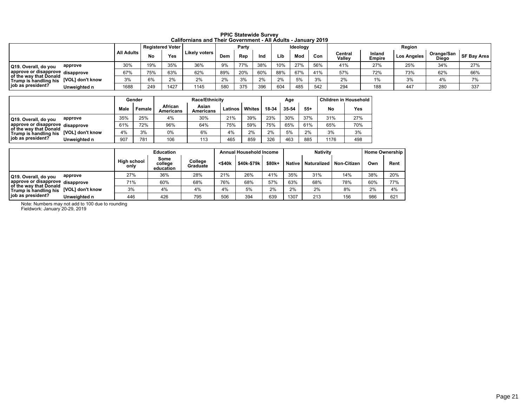|                                                   |                  |                   | Registered Voter |      |               |     | Party |     |     | Ideology |     |                   |                         | Region      |                     |               |
|---------------------------------------------------|------------------|-------------------|------------------|------|---------------|-----|-------|-----|-----|----------|-----|-------------------|-------------------------|-------------|---------------------|---------------|
|                                                   |                  | <b>All Adults</b> | No               | Yes  | Likely voters | Dem | Rep   | Ind | Lib | Mod      | Con | Central<br>Vallev | Inland<br><b>Empire</b> | Los Angeles | Orange/San<br>Diego | l SF Bav Area |
| Q19. Overall, do you                              | approve          | 30%               | 19%              | 35%  | 36%           | 9%  | 77%   | 38% | 10% | 27%      | 56% | 41%               | 27%                     | 25%         | 34%                 | 27%           |
| approve or disapprove disapprove                  |                  | 67%               | 75%              | 63%  | 62%           | 89% | 20%   | 60% | 88% | 67%      | 41% | 57%               | 72%                     | 73%         | 62%                 | 66%           |
| l of the wav that Donald<br>Trump is handling his | [VOL] don't know | 3%                | 6%               | 2%   | 2%            | 2%  | 3%    | 2%  | 2%  | 5%       | 3%  | 2%                | 1%                      | 3%          | 4%                  | 7%            |
| job as president?                                 | Unweighted n     | 1688              | 249              | 1427 | 1145          | 580 | 375   | 396 | 604 | 485      | 542 | 294               | 188                     | 447         | 280                 | 337           |

**PPIC Statewide Survey Californians and Their Government - All Adults - January 2019**

|                                                 |                         |      | Gender |                      | <b>Race/Ethnicity</b> |         |        |       | Age   |       | Children in Household |     |
|-------------------------------------------------|-------------------------|------|--------|----------------------|-----------------------|---------|--------|-------|-------|-------|-----------------------|-----|
|                                                 |                         | Male | Female | African<br>Americans | Asian<br>Americans    | Latinos | Whites | 18-34 | 35-54 | $55+$ | No                    | Yes |
| Q19. Overall, do you                            | approve                 | 35%  | 25%    | 4%                   | 30%                   | 21%     | 39%    | 23%   | 30%   | 37%   | 31%                   | 27% |
| ' approve or disapprove ,                       | disapprove              | 61%  | 72%    | 96%                  | 64%                   | 75%     | 59%    | 75%   | 65%   | 61%   | 65%                   | 70% |
| of the way that Donald<br>Trump is handling his | <b>IVOLI don't know</b> | 4%   | 3%     | 0%                   | 6%                    | 4%      | 2%     | 2%    | 5%    | 2%    | 3%                    | 3%  |
| job as president?                               | Unweighted n            | 907  | 781    | 106                  | 113                   | 465     | 859    | 326   | 463   | 885   | 1176                  | 498 |

|                                                 |                  |                     | <b>Education</b>             |                     |        | Annual Household Income |        |          | <b>Nativity</b>           |     |     | Home Ownership |
|-------------------------------------------------|------------------|---------------------|------------------------------|---------------------|--------|-------------------------|--------|----------|---------------------------|-----|-----|----------------|
|                                                 |                  | High school<br>only | Some<br>college<br>education | College<br>Graduate | <\$40k | l \$40k-\$79k           | \$80k+ | Native I | Naturalized   Non-Citizen |     | Own | Rent           |
| Q19. Overall, do you                            | approve          | 27%                 | 36%                          | 28%                 | 21%    | 26%                     | 41%    | 35%      | 31%                       | 14% | 38% | 20%            |
| approve or disapprove disapprove                |                  | 71%                 | 60%                          | 68%                 | 76%    | 68%                     | 57%    | 63%      | 68%                       | 78% | 60% | 77%            |
| of the way that Donald<br>Trump is handling his | [VOL] don't know | 3%                  | 4%                           | 4%                  | 4%     | 5%                      | 2%     | 2%       | 2%                        | 8%  | 2%  | 4%             |
| job as president?                               | Unweighted n     | 446                 | 426                          | 795                 | 506    | 394                     | 639    | 1307     | 213                       | 156 | 986 | 621            |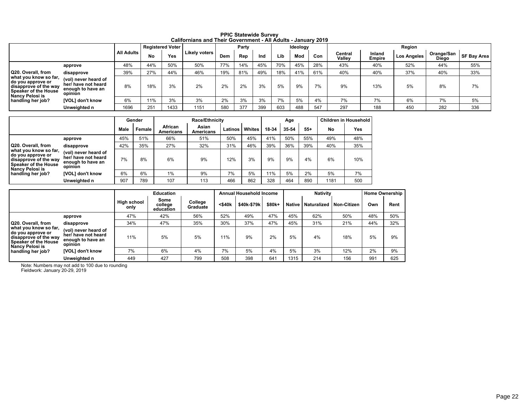|                                                                                                                |                                                                             |                   |     | Registered Voter |                      |            | Party |     |     | Ideology |     |                   |                         | Region      |                     |             |
|----------------------------------------------------------------------------------------------------------------|-----------------------------------------------------------------------------|-------------------|-----|------------------|----------------------|------------|-------|-----|-----|----------|-----|-------------------|-------------------------|-------------|---------------------|-------------|
|                                                                                                                |                                                                             | <b>All Adults</b> | No  | Yes              | <b>Likely voters</b> | <b>Dem</b> | Rep   | Ind | Lib | Mod      | Con | Central<br>Valley | Inland<br><b>Empire</b> | Los Angeles | Orange/San<br>Dieao | SF Bay Area |
|                                                                                                                | approve                                                                     | 48%               | 44% | 50%              | 50%                  | 77%        | 14%   | 45% | 70% | 45%      | 28% | 43%               | 40%                     | 52%         | 44%                 | 55%         |
| Q20. Overall, from                                                                                             | disapprove                                                                  | 39%               | 27% | 44%              | 46%                  | 19%        | 81%   | 49% | 18% | 41%      | 61% | 40%               | 40%                     | 37%         | 40%                 | 33%         |
| what you know so far,<br>do you approve or<br>disapprove of the way<br>Speaker of the House<br>Nancy Pelosi is | (vol) never heard of<br>her/ have not heard<br>enough to have an<br>opinion | 8%                | 18% | 3%               | 2%                   | 2%         | 2%    | 3%  | 5%  | 9%       | 7%  | 9%                | 13%                     | 5%          | 8%                  | 7%          |
| handling her job?                                                                                              | [VOL] don't know                                                            | 6%                | 11% | 3%               | 3%                   | 2%         | 3%    | 3%  | 7%  | 5%       | 4%  | 7%                | 7%                      | 6%          | 7%                  | 5%          |
|                                                                                                                | Unweighted n                                                                | 1696              | 251 | 1433             | 1151                 | 580        | 377   | 399 | 603 | 488      | 547 | 297               | 188                     | 450         | 282                 | 336         |

|                                                                                                                  |                                                                             |      | Gender |                             | <b>Race/Ethnicity</b> |         |        |       | Age   |       |      | <b>Children in Household</b> |
|------------------------------------------------------------------------------------------------------------------|-----------------------------------------------------------------------------|------|--------|-----------------------------|-----------------------|---------|--------|-------|-------|-------|------|------------------------------|
|                                                                                                                  |                                                                             | Male | Female | African<br><b>Americans</b> | Asian<br>Americans    | Latinos | Whites | 18-34 | 35-54 | $55+$ | No   | <b>Yes</b>                   |
|                                                                                                                  | approve                                                                     | 45%  | 51%    | 66%                         | 51%                   | 50%     | 45%    | 41%   | 50%   | 55%   | 49%  | 48%                          |
| Q20. Overall, from                                                                                               | disapprove                                                                  | 42%  | 35%    | 27%                         | 32%                   | 31%     | 46%    | 39%   | 36%   | 39%   | 40%  | 35%                          |
| what you know so far.<br>do you approve or<br>disapprove of the way<br>Speaker of the House<br>l Nancy Pelosi is | (vol) never heard of<br>her/ have not heard<br>enough to have an<br>opinion | 7%   | 8%     | 6%                          | 9%                    | 12%     | 3%     | 9%    | 9%    | 4%    | 6%   | 10%                          |
| handling her job?                                                                                                | [VOL] don't know                                                            | 6%   | 6%     | $1\%$                       | 9%                    | 7%      | 5%     | 11%   | 5%    | 2%    | 5%   | 7%                           |
|                                                                                                                  | Unweighted n                                                                | 907  | 789    | 107                         | 113                   | 466     | 862    | 328   | 464   | 890   | 1181 | 500                          |

|                                                                                                                |                                                                             |                     | <b>Education</b>             |                     |              | <b>Annual Household Income</b> |        |               | <b>Nativity</b> |               |     | <b>Home Ownership</b> |
|----------------------------------------------------------------------------------------------------------------|-----------------------------------------------------------------------------|---------------------|------------------------------|---------------------|--------------|--------------------------------|--------|---------------|-----------------|---------------|-----|-----------------------|
|                                                                                                                |                                                                             | High school<br>only | Some<br>college<br>education | College<br>Graduate | $<$ \$40 $k$ | \$40k-\$79k                    | \$80k+ | <b>Native</b> | Naturalized     | l Non-Citizen | Own | Rent                  |
|                                                                                                                | approve                                                                     | 47%                 | 42%                          | 56%                 | 52%          | 49%                            | 47%    | 45%           | 62%             | 50%           | 48% | 50%                   |
| ∣ Q20. Overall, from                                                                                           | disapprove                                                                  | 34%                 | 47%                          | 35%                 | 30%          | 37%                            | 47%    | 45%           | 31%             | 21%           | 44% | 32%                   |
| what you know so far,<br>do you approve or<br>disapprove of the way<br>Speaker of the House<br>Nancy Pelosi is | (vol) never heard of<br>her/ have not heard<br>enough to have an<br>opinion | 11%                 | 5%                           | 5%                  | 11%          | 9%                             | 2%     | 5%            | 4%              | 18%           | 5%  | 9%                    |
| handling her job?                                                                                              | [VOL] don't know                                                            | 7%                  | 6%                           | 4%                  | 7%           | 5%                             | 4%     | 5%            | 3%              | 12%           | 2%  | 9%                    |
|                                                                                                                | Unweighted n                                                                | 449                 | 427                          | 799                 | 508          | 398                            | 641    | 1315          | 214             | 156           | 991 | 625                   |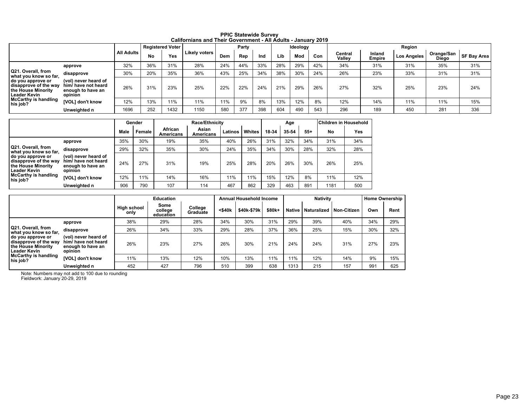| <b>PPIC Statewide Survey</b>                                  |  |
|---------------------------------------------------------------|--|
| Californians and Their Government - All Adults - January 2019 |  |

|                                                                                                                  |                                                                             |                   | Registered Voter |      |               |     | Party |     |     | Ideology |     |                   |                         | Region      |                     |             |
|------------------------------------------------------------------------------------------------------------------|-----------------------------------------------------------------------------|-------------------|------------------|------|---------------|-----|-------|-----|-----|----------|-----|-------------------|-------------------------|-------------|---------------------|-------------|
|                                                                                                                  |                                                                             | <b>All Adults</b> | No               | Yes  | Likely voters | Dem | Rep   | Ind | Lib | Mod      | Con | Central<br>Valley | Inland<br><b>Empire</b> | Los Angeles | Orange/San<br>Diego | SF Bay Area |
|                                                                                                                  | approve                                                                     | 32%               | 36%              | 31%  | 28%           | 24% | 44%   | 33% | 28% | 29%      | 42% | 34%               | 31%                     | 31%         | 35%                 | 31%         |
| Q21. Overall, from                                                                                               | disapprove                                                                  | 30%               | 20%              | 35%  | 36%           | 43% | 25%   | 34% | 38% | 30%      | 24% | 26%               | 23%                     | 33%         | 31%                 | 31%         |
| what you know so far,<br>do you approve or<br>disapprove of the way<br>the House Minority<br><b>Leader Kevin</b> | (vol) never heard of<br>him/ have not heard<br>enough to have an<br>opinion | 26%               | 31%              | 23%  | 25%           | 22% | 22%   | 24% | 21% | 29%      | 26% | 27%               | 32%                     | 25%         | 23%                 | 24%         |
| McCarthy is handling<br>his job?                                                                                 | [VOL] don't know                                                            | 12%               | 13%              | 11%  | 11%           | 11% | 9%    | 8%  | 13% | 12%      | 8%  | 12%               | 14%                     | 11%         | 11%                 | 15%         |
|                                                                                                                  | Unweighted n                                                                | 1696              | 252              | 1432 | 1150          | 580 | 377   | 398 | 604 | 490      | 543 | 296               | 189                     | 450         | 281                 | 336         |

|                                                                                  |                                                                             |      | Gender |                      | <b>Race/Ethnicity</b> |         |               |       | Age   |       | <b>Children in Household</b> |     |
|----------------------------------------------------------------------------------|-----------------------------------------------------------------------------|------|--------|----------------------|-----------------------|---------|---------------|-------|-------|-------|------------------------------|-----|
|                                                                                  |                                                                             | Male | Female | African<br>Americans | Asian<br>Americans    | Latinos | <b>Whites</b> | 18-34 | 35-54 | $55+$ | No                           | Yes |
|                                                                                  | approve                                                                     | 35%  | 30%    | 19%                  | 35%                   | 40%     | 26%           | 31%   | 32%   | 34%   | 31%                          | 34% |
| Q21. Overall, from<br>what you know so far,                                      | disapprove                                                                  | 29%  | 32%    | 35%                  | 30%                   | 24%     | 35%           | 34%   | 30%   | 28%   | 32%                          | 28% |
| do you approve or<br>disapprove of the way<br>the House Minority<br>Leader Kevin | (vol) never heard of<br>him/ have not heard<br>enough to have an<br>opinion | 24%  | 27%    | 31%                  | 19%                   | 25%     | 28%           | 20%   | 26%   | 30%   | 26%                          | 25% |
| McCarthy is handling<br>his job?                                                 | [VOL] don't know                                                            | 12%  | 11%    | 14%                  | 16%                   | 11%     | 11%           | 15%   | 12%   | 8%    | 11%                          | 12% |
|                                                                                  | Unweighted n                                                                | 906  | 790    | 107                  | 114                   | 467     | 862           | 329   | 463   | 891   | 1181                         | 500 |

|                                                                                         |                                                                             |                     | <b>Education</b>             |                     |              | Annual Household Income |        |        | <b>Nativity</b> |             |     | Home Ownership |
|-----------------------------------------------------------------------------------------|-----------------------------------------------------------------------------|---------------------|------------------------------|---------------------|--------------|-------------------------|--------|--------|-----------------|-------------|-----|----------------|
|                                                                                         |                                                                             | High school<br>only | Some<br>college<br>education | College<br>Graduate | $<$ \$40 $k$ | \$40k-\$79k             | \$80k+ | Native | Naturalized     | Non-Citizen | Own | Rent           |
|                                                                                         | approve                                                                     | 38%                 | 29%                          | 28%                 | 34%          | 30%                     | 31%    | 29%    | 39%             | 40%         | 34% | 29%            |
| Q21. Overall, from<br>what you know so far,                                             | disapprove                                                                  | 26%                 | 34%                          | 33%                 | 29%          | 28%                     | 37%    | 36%    | 25%             | 15%         | 30% | 32%            |
| do you approve or<br>disapprove of the way<br>the House Minority<br><b>Leader Kevin</b> | (vol) never heard of<br>him/ have not heard<br>enough to have an<br>opinion | 26%                 | 23%                          | 27%                 | 26%          | 30%                     | 21%    | 24%    | 24%             | 31%         | 27% | 23%            |
| McCarthy is handling<br>his job?                                                        | [VOL] don't know                                                            | 11%                 | 13%                          | 12%                 | 10%          | 13%                     | 11%    | 11%    | 12%             | 14%         | 9%  | 15%            |
|                                                                                         | Unweighted n                                                                | 452                 | 427                          | 796                 | 510          | 399                     | 638    | 1313   | 215             | 157         | 991 | 625            |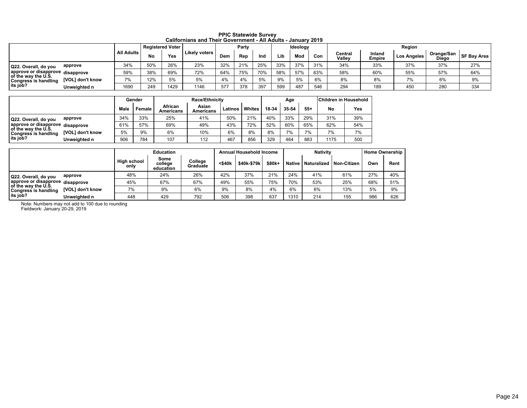|                                                    |                  |                   |     | <b>Registered Voter</b> |               |            | Party |     |     | Ideology |     |                   |                         | Region      |                                        |     |
|----------------------------------------------------|------------------|-------------------|-----|-------------------------|---------------|------------|-------|-----|-----|----------|-----|-------------------|-------------------------|-------------|----------------------------------------|-----|
|                                                    |                  | <b>All Adults</b> | No  | <b>Yes</b>              | Likely voters | <b>Dem</b> | Rep   | Ind | Lib | Mod      | Con | Central<br>Vallev | Inland<br><b>Empire</b> | Los Angeles | Consul Orange/San SF Bay Area<br>Diego |     |
| Q22. Overall, do you                               | approve          | 34%               | 50% | 26%                     | 23%           | 32%        | 21%   | 25% | 33% | 37%      | 31% | 34%               | 33%                     | 37%         | 37%                                    | 27% |
| approve or disapprove disapprove                   |                  | 59%               | 38% | 69%                     | 72%           | 64%        | 75%   | 70% | 58% | 57%      | 63% | 58%               | 60%                     | 55%         | 57%                                    | 64% |
| of the way the U.S.<br><b>Congress is handling</b> | [VOL] don't know | 7%                | 12% | 5%                      | 5%            | 4%         | 4%    | 5%  | 9%  | 5%       | 6%  | 8%                | 8%                      | 7%          | 6%                                     | 9%  |
| ∣its job?                                          | Unweighted n     | 1690              | 249 | 1429                    | 1146          | 577        | 378   | 397 | 599 | 487      | 546 | 294               | 189                     | 450         | 280                                    | 334 |

**PPIC Statewide Survey Californians and Their Government - All Adults - January 2019**

|                                             |                  |      | Gender |                             | <b>Race/Ethnicity</b> |         |        |       | Age   |     | Children in Household |     |
|---------------------------------------------|------------------|------|--------|-----------------------------|-----------------------|---------|--------|-------|-------|-----|-----------------------|-----|
|                                             |                  | Male | Female | African<br><b>Americans</b> | Asian<br>Americans    | Latinos | Whites | 18-34 | 35-54 | 55+ | No                    | Yes |
| Q22. Overall, do you                        | approve          | 34%  | 33%    | 25%                         | 41%                   | 50%     | 21%    | 40%   | 33%   | 29% | 31%                   | 39% |
| approve or disapprove,                      | disapprove       | 61%  | 57%    | 69%                         | 49%                   | 43%     | 72%    | 52%   | 60%   | 65% | 62%                   | 54% |
| of the way the U.S.<br>Congress is handling | [VOL] don't know | 5%   | 9%     | 6%                          | 10%                   | 6%      | 8%     | 8%    | 7%    | 7%  | 7%                    | 7%  |
| its job?                                    | Unweighted n     | 906  | 784    | 107                         | 112                   | 467     | 856    | 329   | 464   | 883 | 1175                  | 500 |

|                                              |                  |                     | <b>Education</b>             |                     |              | <b>Annual Household Income</b> |        |               | <b>Nativity</b>    |               |     | Home Ownership |
|----------------------------------------------|------------------|---------------------|------------------------------|---------------------|--------------|--------------------------------|--------|---------------|--------------------|---------------|-----|----------------|
|                                              |                  | High school<br>only | Some<br>college<br>education | College<br>Graduate | $<$ \$40 $k$ | \$40k-\$79k                    | \$80k+ | <b>Native</b> | <b>Naturalized</b> | l Non-Citizen | Own | Rent           |
| Q22. Overall, do you                         | approve          | 48%                 | 24%                          | 26%                 | 42%          | 37%                            | 21%    | 24%           | 41%                | 61%           | 27% | 40%            |
| approve or disapprove disapprove             |                  | 45%                 | 67%                          | 67%                 | 49%          | 55%                            | 75%    | 70%           | 53%                | 25%           | 68% | 51%            |
| of the way the U.S.<br>'Congress is handling | [VOL] don't know | 7%                  | 9%                           | 6%                  | 9%           | 8%                             | 4%     | 6%            | 6%                 | 13%           | 5%  | 9%             |
| its job?                                     | Unweighted n     | 448                 | 429                          | 792                 | 506          | 398                            | 637    | 1310          | 214                | 155           | 986 | 626            |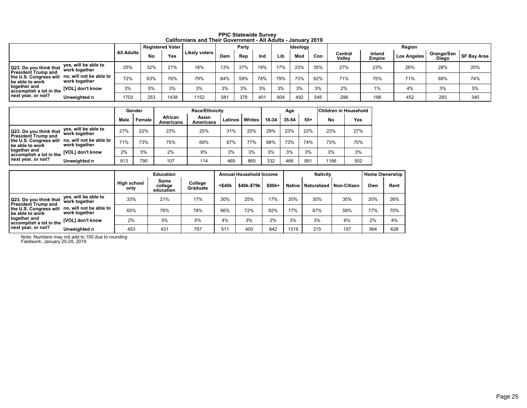|                                                      |                                          |                   | <b>Registered Voter</b> |      |               |     | Party |                 |     | ldeology |     |                   |                         | Region      |                            |             |
|------------------------------------------------------|------------------------------------------|-------------------|-------------------------|------|---------------|-----|-------|-----------------|-----|----------|-----|-------------------|-------------------------|-------------|----------------------------|-------------|
|                                                      |                                          | <b>All Adults</b> | No                      | Yes  | Likely voters | Dem | Rep   | Ind             | Lib | Mod      | Con | Central<br>Vallev | Inland<br><b>Empire</b> | Los Angeles | Orange/San<br><b>Diego</b> | SF Bay Area |
| Q23. Do you think that<br><b>President Trump and</b> | yes, will be able to<br>work together    | 25%               | 32%                     | 21%  | 18%           | 13% | 37%   | 19%             | 17% | 23%      | 35% | 27%               | 23%                     | 26%         | 28%                        | 20%         |
| the U.S. Congress will<br>be able to work            | no, will not be able to<br>work together | 72%               | 63%                     | 76%  | 79%           | 84% | 59%   | 78%             | 79% | 73%      | 62% | 71%               | 75%                     | 71%         | 69%                        | 74%         |
| together and<br>accomplish a lot in the              | [VOL] don't know                         | 3%                | 5%                      | 3%   | 3%            | 3%  | 3%    | 3%              | 3%  | 3%       | 3%  | 2%                | 1%                      | 4%          | 3%                         | 5%          |
| next year, or not?                                   | Unweighted n                             | 1703              | 253                     | 1438 | 1152          | 581 | 378   | 40 <sup>′</sup> | 604 | 492      | 545 | 298               | 188                     | 452         | 283                        | 340         |

|                                               |                                          |      | Gender |                      | <b>Race/Ethnicity</b> |         |               |       | Age   |       | Children in Household |            |
|-----------------------------------------------|------------------------------------------|------|--------|----------------------|-----------------------|---------|---------------|-------|-------|-------|-----------------------|------------|
|                                               |                                          | Male | Female | African<br>Americans | Asian<br>Americans    | Latinos | <b>Whites</b> | 18-34 | 35-54 | $55+$ | No                    | <b>Yes</b> |
| Q23. Do you think that<br>President Trump and | yes, will be able to<br>work together    | 27%  | 22%    | 23%                  | 25%                   | 31%     | 20%           | 29%   | 23%   | 22%   | 23%                   | 27%        |
| the U.S. Congress will<br>be able to work     | no, will not be able to<br>work together | 71%  | 73%    | 75%                  | 69%                   | 67%     | 77%           | 68%   | 73%   | 74%   | 73%                   | 70%        |
| together and<br>accomplish a lot in the       | [VOL] don't know                         | 2%   | 5%     | 2%                   | 6%                    | 3%      | 3%            | 3%    | 3%    | 3%    | 3%                    | 3%         |
| next year, or not?                            | Unweighted n                             | 913  | 790    | 107                  | 114                   | 469     | 865           | 332   | 466   | 891   | 1186                  | 502        |

|                                                      |                                          |                     | <b>Education</b>             |                     |              | Annual Household Income |        |               | <b>Nativity</b> |                           |     | Home Ownership |
|------------------------------------------------------|------------------------------------------|---------------------|------------------------------|---------------------|--------------|-------------------------|--------|---------------|-----------------|---------------------------|-----|----------------|
|                                                      |                                          | High school<br>only | Some<br>college<br>education | College<br>Graduate | $<$ \$40 $k$ | \$40k-\$79k             | \$80k+ | <b>Native</b> |                 | Naturalized   Non-Citizen | Own | Rent           |
| Q23. Do you think that<br><b>President Trump and</b> | yes, will be able to<br>work together    | 33%                 | 21%                          | 17%                 | 30%          | 25%                     | 17%    | 20%           | 30%             | 35%                       | 20% | 26%            |
| the U.S. Congress will<br>be able to work            | no, will not be able to<br>work together | 65%                 | 76%                          | 78%                 | 66%          | 72%                     | 82%    | 77%           | 67%             | 59%                       | 77% | 70%            |
| ∣ together and<br>accomplish a lot in the            | [VOL] don't know                         | 2%                  | 3%                           | 5%                  | 4%           | 3%                      | 2%     | 3%            | 3%              | 6%                        | 2%  | 4%             |
| I next year, or not?                                 | Unweighted n                             | 453                 | 431                          | 797                 | 511          | 400                     | 642    | 1319          | 215             | 157                       | 994 | 628            |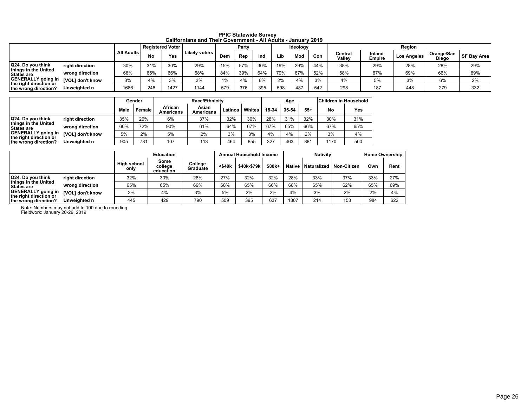|                                                |                         |                   |                  | ---------------- |               |     |       |     |     |          |     |                   |                         |             |                     |             |
|------------------------------------------------|-------------------------|-------------------|------------------|------------------|---------------|-----|-------|-----|-----|----------|-----|-------------------|-------------------------|-------------|---------------------|-------------|
|                                                |                         |                   | Registered Voter |                  |               |     | Party |     |     | Ideology |     |                   |                         | Region      |                     |             |
|                                                |                         | <b>All Adults</b> | No               | Yes              | Likely voters | Dem | Rep   | Ind | Lib | Mod      | Con | Central<br>Valley | Inland<br><b>Empire</b> | Los Angeles | Orange/San<br>Diego | SF Bav Area |
| Q24. Do you think                              | right direction         | 30%               | 31%              | 30%              | 29%           | 15% | 57%   | 30% | 19% | 29%      | 44% | 38%               | 29%                     | 28%         | 28%                 | 29%         |
| things in the United<br>l States are           | wrong direction         | 66%               | 65%              | 66%              | 68%           | 84% | 39%   | 64% | 79% | 67%      | 52% | 58%               | 67%                     | 69%         | 66%                 | 69%         |
| GENERALLY going in                             | <b>IVOLI don't know</b> | 3%                | 4%               | 3%               | 3%            | 1%  | 4%    | 6%  | 2%  | 4%       | 3%  | 4%                | 5%                      | 3%          | 6%                  | 2%          |
| the right direction or<br>the wrong direction? | Unweighted n            | 1686              | 248              | 1427             | 1144          | 579 | 376   | 395 | 598 | 487      | 542 | 298               | 187                     | 448         | 279                 | 332         |

**PPIC Statewide Survey Californians and Their Government - All Adults - January 2019**

|                                                |                  |      | Gender |                             | <b>Race/Ethnicity</b> |         |        |       | Age   |       | Children in Household |     |
|------------------------------------------------|------------------|------|--------|-----------------------------|-----------------------|---------|--------|-------|-------|-------|-----------------------|-----|
|                                                |                  | Male | Female | African<br><b>Americans</b> | Asian<br>Americans    | Latinos | Whites | 18-34 | 35-54 | $55+$ | No                    | Yes |
| Q24. Do you think                              | right direction  | 35%  | 26%    | 6%                          | 37%                   | 32%     | 30%    | 28%   | 31%   | 32%   | 30%                   | 31% |
| things in the United<br><b>States are</b>      | wrong direction  | 60%  | 72%    | 90%                         | 61%                   | 64%     | 67%    | 67%   | 65%   | 66%   | 67%                   | 65% |
| <b>GENERALLY</b> going in                      | [VOL] don't know | 5%   | 2%     | 5%                          | 2%                    | 3%      | 3%     | 4%    | 4%    | 2%    | 3%                    | 4%  |
| the right direction or<br>the wrong direction? | Unweighted n     | 905  | 781    | 107                         | 113                   | 464     | 855    | 327   | 463   | 881   | 1170                  | 500 |

|                                                |                  |                     | <b>Education</b>             |                     |              | Annual Household Income |        |      | <b>Nativity</b>      |             | <b>Home Ownership</b> |      |
|------------------------------------------------|------------------|---------------------|------------------------------|---------------------|--------------|-------------------------|--------|------|----------------------|-------------|-----------------------|------|
|                                                |                  | High school<br>only | Some<br>college<br>education | College<br>Graduate | $<$ \$40 $k$ | \$40k-\$79k             | \$80k+ |      | Native   Naturalized | Non-Citizen | Own                   | Rent |
| Q24. Do you think                              | right direction  | 32%                 | 30%                          | 28%                 | 27%          | 32%                     | 32%    | 28%  | 33%                  | 37%         | 33%                   | 27%  |
| things in the United<br><b>States are</b>      | wrong direction  | 65%                 | 65%                          | 69%                 | 68%          | 65%                     | 66%    | 68%  | 65%                  | 62%         | 65%                   | 69%  |
| <b>GENERALLY</b> going in                      | [VOL] don't know | 3%                  | 4%                           | 3%                  | 5%           | 2%                      | 2%     | 4%   | 3%                   | 2%          | 2%                    | 4%   |
| the right direction or<br>the wrong direction? | Unweighted n     | 445                 | 429                          | 790                 | 509          | 395                     | 637    | 1307 | 214                  | 153         | 984                   | 622  |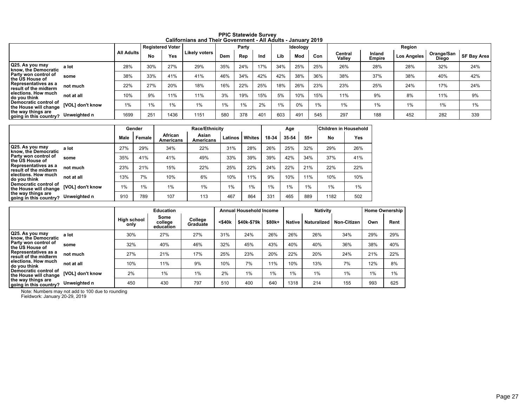|                                                |                  |                   | Registered Voter |            |               |       | Party |     |     | Ideology        |     |                   |                         | Region      |                     |               |
|------------------------------------------------|------------------|-------------------|------------------|------------|---------------|-------|-------|-----|-----|-----------------|-----|-------------------|-------------------------|-------------|---------------------|---------------|
|                                                |                  | <b>All Adults</b> | No               | <b>Yes</b> | Likely voters | Dem   | Rep   | Ind | Lib | Mod             | Con | Central<br>Vallev | Inland<br><b>Empire</b> | Los Angeles | Orange/San<br>Diego | SF Bay Area ' |
| Q25. As you may<br>Know, the Democratic        | a lot            | 28%               | 30%              | 27%        | 29%           | 35%   | 24%   | 17% | 34% | 25%             | 25% | 26%               | 28%                     | 28%         | 32%                 | 24%           |
| Party won control of<br>∣ the ÚS House of      | some             | 38%               | 33%              | 41%        | 41%           | 46%   | 34%   | 42% | 42% | 38%             | 36% | 38%               | 37%                     | 38%         | 40%                 | 42%           |
| Representatives as a<br>result of the midterm  | not much         | 22%               | 27%              | 20%        | 18%           | 16%   | 22%   | 25% | 18% | 26%             | 23% | 23%               | 25%                     | 24%         | 17%                 | 24%           |
| elections. How much<br>∣ do you think          | not at all       | 10%               | 9%               | 11%        | 11%           | 3%    | 19%   | 15% | 5%  | 10%             | 15% | 11%               | 9%                      | 8%          | 11%                 | 9%            |
| Democratic control of<br>the House will change | [VOL] don't know | $1\%$             | 1%               | $1\%$      | 1%            | $1\%$ | 1%    | 2%  | 1%  | 0%              | 1%  | 1%                | $1\%$                   | $1\%$       | 1%                  | $1\%$         |
| the way things are<br>going in this country?   | Unweighted n     | 1699              | 251              | 1436       | 1151          | 580   | 378   | 401 | 603 | 49 <sup>′</sup> | 545 | 297               | 188                     | 452         | 282                 | 339           |

|                                                  |                  |       | Gender |                      | <b>Race/Ethnicity</b> |         |        |       | Age   |       | <b>Children in Household</b> |            |
|--------------------------------------------------|------------------|-------|--------|----------------------|-----------------------|---------|--------|-------|-------|-------|------------------------------|------------|
|                                                  |                  | Male  | Female | African<br>Americans | Asian<br>Americans    | Latinos | Whites | 18-34 | 35-54 | $55+$ | No                           | <b>Yes</b> |
| Q25. As you may<br>know, the Democratic          | a lot            | 27%   | 29%    | 34%                  | 22%                   | 31%     | 28%    | 26%   | 25%   | 32%   | 29%                          | 26%        |
| Party won control of<br>∣ the ŬS House of        | some             | 35%   | 41%    | 41%                  | 49%                   | 33%     | 39%    | 39%   | 42%   | 34%   | 37%                          | 41%        |
| l Representatives as a<br>result of the midterm  | not much         | 23%   | 21%    | 15%                  | 22%                   | 25%     | 22%    | 24%   | 22%   | 21%   | 22%                          | 22%        |
| l elections. How much<br>do you think            | not at all       | 13%   | 7%     | 10%                  | 6%                    | 10%     | 11%    | 9%    | 10%   | 11%   | 10%                          | 10%        |
| l Democratic control of<br>the House will change | [VOL] don't know | $1\%$ | $1\%$  | 1%                   | 1%                    | $1\%$   | 1%     | $1\%$ | 1%    | $1\%$ | 1%                           | $1\%$      |
| the way things are<br>going in this country?     | Unweighted n     | 910   | 789    | 107                  | 113                   | 467     | 864    | 331   | 465   | 889   | 1182                         | 502        |

|                                                |                  |                     | <b>Education</b>             |                     |              | Annual Household Income |        |               | <b>Nativity</b> |                           |     | Home Ownership |
|------------------------------------------------|------------------|---------------------|------------------------------|---------------------|--------------|-------------------------|--------|---------------|-----------------|---------------------------|-----|----------------|
|                                                |                  | High school<br>only | Some<br>college<br>education | College<br>Graduate | $<$ \$40 $k$ | \$40k-\$79k             | \$80k+ | <b>Native</b> |                 | Naturalized   Non-Citizen | Own | Rent           |
| Q25. As you may<br>know, the Democratic        | a lot            | 30%                 | 27%                          | 27%                 | 31%          | 24%                     | 26%    | 26%           | 26%             | 34%                       | 29% | 29%            |
| Party won control of<br>l the US House of      | some             | 32%                 | 40%                          | 46%                 | 32%          | 45%                     | 43%    | 40%           | 40%             | 36%                       | 38% | 40%            |
| Representatives as a<br>result of the midterm  | not much         | 27%                 | 21%                          | 17%                 | 25%          | 23%                     | 20%    | 22%           | 20%             | 24%                       | 21% | 22%            |
| l elections. How much<br>do you think          | not at all       | 10%                 | 11%                          | 9%                  | 10%          | 7%                      | 11%    | 10%           | 13%             | 7%                        | 12% | 8%             |
| Democratic control of<br>the House will change | [VOL] don't know | 2%                  | 1%                           | 1%                  | 2%           | $1\%$                   | $1\%$  | $1\%$         | 1%              | $1\%$                     | 1%  | 1%             |
| the way things are<br>going in this country?   | Unweighted n     | 450                 | 430                          | 797                 | 510          | 400                     | 640    | 1318          | 214             | 155                       | 993 | 625            |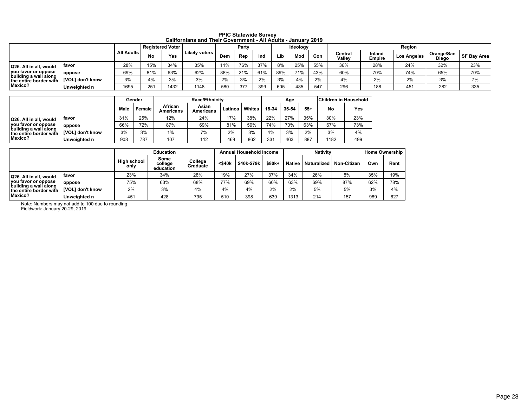|                                                   |                  |            | Registered Voter |            |                      |            | Party |     |     | Ideology |     |                   |                         | Region      |                     |             |
|---------------------------------------------------|------------------|------------|------------------|------------|----------------------|------------|-------|-----|-----|----------|-----|-------------------|-------------------------|-------------|---------------------|-------------|
|                                                   |                  | All Adults | No               | <b>Yes</b> | <b>Likelv voters</b> | <b>Dem</b> | Rep   | Ind | Lib | Mod      | Con | Central<br>Vallev | Inland<br><b>Empire</b> | Los Angeles | Orange/San<br>Diego | SF Bay Area |
| Q26. All in all, would                            | favor            | 28%        | 15%              | 34%        | 35%                  | 11%        | 76%   | 37% | 8%  | 25%      | 55% | 36%               | 28%                     | 24%         | 32%                 | 23%         |
| vou favor or oppose                               | oppose           | 69%        | 81%              | 63%        | 62%                  | 88%        | 21%   | 61% | 89% | 71%      | 43% | 60%               | 70%                     | 74%         | 65%                 | 70%         |
| building a wall along<br>I the entire border with | [VOL] don't know | 3%         | 4%               | 3%         | 3%                   | 2%         | 3%    | 2%  | 3%  | 4%       | 2%  | 4%                | 2%                      | 2%          | 3%                  | 7%          |
| Mexico?                                           | Unweighted n     | 1695       | 251              | 1432       | 1148                 | 580        | 377   | 399 | 605 | 485      | 547 | 296               | 188                     | 451         | 282                 | 335         |

**PPIC Statewide Survey Californians and Their Government - All Adults - January 2019**

|                                                 |                  |      | Gender |                      | <b>Race/Ethnicity</b> |         |        |       | Age   |       | Children in Household |     |
|-------------------------------------------------|------------------|------|--------|----------------------|-----------------------|---------|--------|-------|-------|-------|-----------------------|-----|
|                                                 |                  | Male | Female | African<br>Americans | Asian<br>Americans    | Latinos | Whites | 18-34 | 35-54 | $55+$ | No                    | Yes |
| favor<br>Q26. All in all. would                 |                  | 31%  | 25%    | 12%                  | 24%                   | 17%     | 38%    | 22%   | 27%   | 35%   | 30%                   | 23% |
| you favor or oppose                             | oppose           | 66%  | 72%    | 87%                  | 69%                   | 81%     | 59%    | 74%   | 70%   | 63%   | 67%                   | 73% |
| building a wall along<br>the entire border with | [VOL] don't know | 3%   | 3%     | 1%                   | 7%                    | 2%      | 3%     | 4%    | 3%    | 2%    | 3%                    | 4%  |
| Mexico?                                         | Unweighted n     | 908  | 787    | 107                  | 112                   | 469     | 862    | 331   | 463   | 887   | 1182                  | 499 |

|                                                   |                         |                     | <b>Education</b>             |                     |        | Annual Household Income |        |      | <b>Nativity</b> |                                    |     | Home Ownership |
|---------------------------------------------------|-------------------------|---------------------|------------------------------|---------------------|--------|-------------------------|--------|------|-----------------|------------------------------------|-----|----------------|
|                                                   |                         | High school<br>only | Some<br>college<br>education | College<br>Graduate | <\$40k | \$40k-\$79k             | \$80k+ |      |                 | Native   Naturalized   Non-Citizen | Own | Rent           |
| Q26. All in all, would                            | favor                   | 23%                 | 34%                          | 28%                 | 19%    | 27%                     | 37%    | 34%  | 26%             | 8%                                 | 35% | 19%            |
| I you favor or oppose                             | oppose                  | 75%                 | 63%                          | 68%                 | 77%    | 69%                     | 60%    | 63%  | 69%             | 87%                                | 62% | 78%            |
| building a wall along<br>l the entire border with | <b>IVOLI don't know</b> | 2%                  | 3%                           | 4%                  | 4%     | 4%                      | 2%     | 2%   | 5%              | 5%                                 | 3%  | 4%             |
| Mexico?                                           | Unweighted n            | 45 <sup>4</sup>     | 428                          | 795                 | 510    | 398                     | 639    | 1313 | 214             | 157                                | 989 | 627            |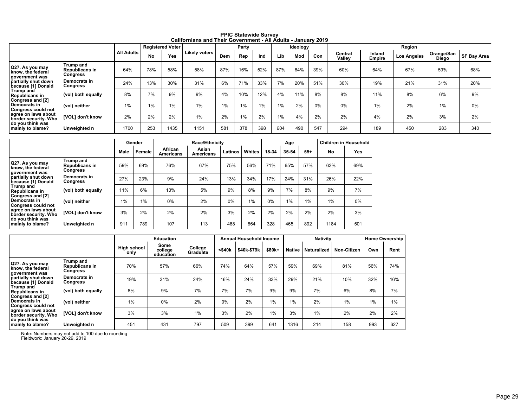|                                                               |                                                |            | Registered Voter |       |               |     | Party |     |       | Ideology |     |                   |                         | Region      |                     |             |
|---------------------------------------------------------------|------------------------------------------------|------------|------------------|-------|---------------|-----|-------|-----|-------|----------|-----|-------------------|-------------------------|-------------|---------------------|-------------|
|                                                               |                                                | All Adults | <b>No</b>        | Yes   | Likely voters | Dem | Rep   | Ind | Lib   | Mod      | Con | Central<br>Vallev | Inland<br><b>Empire</b> | Los Angeles | Orange/San<br>Diego | SF Bay Area |
| Q27. As you may<br>know, the federal<br>government was        | Trump and<br><b>Republicans in</b><br>Congress | 64%        | 78%              | 58%   | 58%           | 87% | 16%   | 52% | 87%   | 64%      | 39% | 60%               | 64%                     | 67%         | 59%                 | 68%         |
| partially shut down<br>because [1] Donald                     | Democrats in<br>Congress                       | 24%        | 13%              | 30%   | 31%           | 6%  | 71%   | 33% | 7%    | 20%      | 51% | 30%               | 19%                     | 21%         | 31%                 | 20%         |
| Trump and<br>Republicans in                                   | (vol) both equally                             | 8%         | 7%               | 9%    | 9%            | 4%  | 10%   | 12% | 4%    | 11%      | 8%  | 8%                | 11%                     | 8%          | 6%                  | 9%          |
| Congress and [2]<br>Democrats in<br><b>Congress could not</b> | (vol) neither                                  | $1\%$      | $1\%$            | $1\%$ | 1%            | 1%  | $1\%$ | 1%  | $1\%$ | 2%       | 0%  | 0%                | $1\%$                   | 2%          | $1\%$               | $0\%$       |
| agree on laws about<br>border security. Who                   | [VOL] don't know                               | 2%         | 2%               | 2%    | 1%            | 2%  | $1\%$ | 2%  | $1\%$ | 4%       | 2%  | 2%                | 4%                      | 2%          | 3%                  | 2%          |
| do you think was<br>mainly to blame?                          | Unweighted n                                   | 1700       | 253              | 1435  | 1151          | 581 | 378   | 398 | 604   | 490      | 547 | 294               | 189                     | 450         | 283                 | 340         |

**PPIC Statewide Survey Californians and Their Government - All Adults - January 2019**

|                                                               |                                                |       | Gender |                      | Race/Ethnicity     |         |        |       | Age   |       | Children in Household |     |
|---------------------------------------------------------------|------------------------------------------------|-------|--------|----------------------|--------------------|---------|--------|-------|-------|-------|-----------------------|-----|
|                                                               |                                                | Male  | Female | African<br>Americans | Asian<br>Americans | Latinos | Whites | 18-34 | 35-54 | $55+$ | No                    | Yes |
| Q27. As you may<br>know, the federal<br>government was        | Trump and<br><b>Republicans in</b><br>Congress | 59%   | 69%    | 76%                  | 67%                | 75%     | 56%    | 71%   | 65%   | 57%   | 63%                   | 69% |
| partially shut down<br>because [1] Donald                     | Democrats in<br>Congress                       | 27%   | 23%    | 9%                   | 24%                | 13%     | 34%    | 17%   | 24%   | 31%   | 26%                   | 22% |
| Trump and<br>Republicans in                                   | (vol) both equally                             | 11%   | 6%     | 13%                  | 5%                 | 9%      | 8%     | 9%    | 7%    | 8%    | 9%                    | 7%  |
| Congress and [2]<br>Democrats in<br><b>Congress could not</b> | (vol) neither                                  | $1\%$ | $1\%$  | 0%                   | 2%                 | 0%      | 1%     | 0%    | $1\%$ | 1%    | 1%                    | 0%  |
| agree on laws about<br>border security. Who                   | [VOL] don't know                               | 3%    | 2%     | 2%                   | 2%                 | 3%      | 2%     | 2%    | 2%    | 2%    | 2%                    | 3%  |
| do you think was<br>mainly to blame?                          | Unweighted n                                   | 911   | 789    | 107                  | 113                | 468     | 864    | 328   | 465   | 892   | 1184                  | 501 |

|                                                        |                                                |                     | <b>Education</b>             |                     |              | <b>Annual Household Income</b> |        |               | <b>Nativity</b> |             | Home Ownership |       |
|--------------------------------------------------------|------------------------------------------------|---------------------|------------------------------|---------------------|--------------|--------------------------------|--------|---------------|-----------------|-------------|----------------|-------|
|                                                        |                                                | High school<br>only | Some<br>college<br>education | College<br>Graduate | $<$ \$40 $k$ | \$40k-\$79k                    | \$80k+ | <b>Native</b> | Naturalized     | Non-Citizen | Own            | Rent  |
| Q27. As you may<br>know, the federal<br>government was | Trump and<br><b>Republicans in</b><br>Congress | 70%                 | 57%                          | 66%                 | 74%          | 64%                            | 57%    | 59%           | 69%             | 81%         | 56%            | 74%   |
| partially shut down<br>because [1] Donald              | Democrats in<br><b>Congress</b>                | 19%                 | 31%                          | 24%                 | 16%          | 24%                            | 33%    | 29%           | 21%             | 10%         | 32%            | 16%   |
| Trump and<br>Republicans in<br>Congress and [2]        | (vol) both equally                             | 8%                  | 9%                           | 7%                  | 7%           | 7%                             | 9%     | 9%            | 7%              | 6%          | 8%             | 7%    |
| Democrats in<br><b>Congress could not</b>              | (vol) neither                                  | $1\%$               | 0%                           | 2%                  | 0%           | 2%                             | $1\%$  | 1%            | 2%              | 1%          | 1%             | $1\%$ |
| agree on laws about<br>border security. Who            | [VOL] don't know                               | 3%                  | 3%                           | 1%                  | 3%           | 2%                             | $1\%$  | 3%            | 1%              | 2%          | 2%             | 2%    |
| do you think was<br>mainly to blame?                   | Unweighted n                                   | 451                 | 431                          | 797                 | 509          | 399                            | 641    | 1316          | 214             | 158         | 993            | 627   |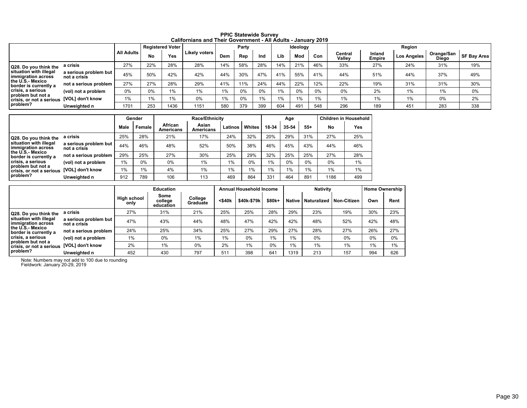|                                                                  |                                       | Registered Voter  |     |       |               | Party      |     |       | Ideology |     | Region |                   |                         |             |                     |             |
|------------------------------------------------------------------|---------------------------------------|-------------------|-----|-------|---------------|------------|-----|-------|----------|-----|--------|-------------------|-------------------------|-------------|---------------------|-------------|
|                                                                  |                                       | <b>All Adults</b> | Nο  | Yes   | Likely voters | <b>Dem</b> | Rep | Ind   | Lib      | Mod | Con    | Central<br>Vallev | Inland<br><b>Empire</b> | Los Angeles | Orange/San<br>Diego | SF Bay Area |
| Q28. Do you think the                                            | a crisis                              | 27%               | 22% | 28%   | 28%           | 14%        | 58% | 28%   | 14%      | 21% | 46%    | 33%               | 27%                     | 24%         | 31%                 | 19%         |
| situation with illegal<br>immigration across<br>the U.S.- Mexico | a serious problem but<br>not a crisis | 45%               | 50% | 42%   | 42%           | 44%        | 30% | 47%   | 41%      | 55% | 41%    | 44%               | 51%                     | 44%         | 37%                 | 49%         |
| border is currently a                                            | not a serious problem                 | 27%               | 27% | 28%   | 29%           | 41%        | 11% | 24%   | 44%      | 22% | 12%    | 22%               | 19%                     | 31%         | 31%                 | 30%         |
| crisis, a serious                                                | (vol) not a problem                   | 0%                | 0%  | 1%    | 1%            | 1%         | 0%  | 0%    | 1%       | 0%  | 0%     | 0%                | 2%                      | 1%          | 1%                  | 0%          |
| problem but not a<br>crisis, or not a serious                    | [VOL] don't know                      | 1%                | 1%  | $1\%$ | 0%            | 1%         | 0%  | $1\%$ | 1%       | 1%  | 1%     | 1%                | 1%                      | $1\%$       | 0%                  | 2%          |
| problem?                                                         | Unweighted n                          | 1701              | 253 | 1436  | 1151          | 580        | 379 | 399   | 604      | 491 | 548    | 296               | 189                     | 451         | 283                 | 338         |

|                                                 |                                       |       | Gender |                      | <b>Race/Ethnicity</b>     |         |        |       | Age   |       | Children in Household |     |
|-------------------------------------------------|---------------------------------------|-------|--------|----------------------|---------------------------|---------|--------|-------|-------|-------|-----------------------|-----|
|                                                 |                                       | Male  | Female | African<br>Americans | Asian<br><b>Americans</b> | Latinos | Whites | 18-34 | 35-54 | $55+$ | No                    | Yes |
| Q28. Do you think the                           | a crisis                              | 25%   | 28%    | 21%                  | 17%                       | 24%     | 32%    | 20%   | 29%   | 31%   | 27%                   | 25% |
| l situation with illegal<br>immigration across  | a serious problem but<br>not a crisis | 44%   | 46%    | 48%                  | 52%                       | 50%     | 38%    | 46%   | 45%   | 43%   | 44%                   | 46% |
| l the U.S.- Mexico<br>border is currently a     | not a serious problem                 | 29%   | 25%    | 27%                  | 30%                       | 25%     | 29%    | 32%   | 25%   | 25%   | 27%                   | 28% |
| l crisis. a serious                             | (vol) not a problem                   | $1\%$ | 0%     | 0%                   | $1\%$                     | $1\%$   | 0%     | 1%    | 0%    | 0%    | 0%                    | 1%  |
| problem but not a<br>l crisis. or not a serious | [VOL] don't know                      | $1\%$ | $1\%$  | 4%                   | $1\%$                     | $1\%$   | 1%     | 1%    | $1\%$ | $1\%$ | $1\%$                 | 1%  |
| problem?                                        | Unweighted n                          | 912   | 789    | 106                  | 113                       | 469     | 864    | 331   | 464   | 891   | 1186                  | 499 |

|                                                                                                                                                                               |                                       |                     | <b>Education</b>             |                     |        | Annual Household Income |        |      | <b>Nativity</b>    |             | Home Ownership |       |
|-------------------------------------------------------------------------------------------------------------------------------------------------------------------------------|---------------------------------------|---------------------|------------------------------|---------------------|--------|-------------------------|--------|------|--------------------|-------------|----------------|-------|
|                                                                                                                                                                               |                                       | High school<br>only | Some<br>college<br>education | College<br>Graduate | <\$40k | \$40k-\$79k             | \$80k+ |      | Native Naturalized | Non-Citizen | Own            | Rent  |
| Q28. Do you think the                                                                                                                                                         | a crisis                              | 27%                 | 31%                          | 21%                 | 25%    | 25%                     | 28%    | 29%  | 23%                | 19%         | 30%            | 23%   |
| situation with illegal<br>immigration across<br>l the U.S.- Mexico<br>border is currently a<br>crisis, a serious<br>problem but not a<br>crisis, or not a serious<br>problem? | a serious problem but<br>not a crisis | 47%                 | 43%                          | 44%                 | 48%    | 47%                     | 42%    | 42%  | 48%                | 52%         | 42%            | 48%   |
|                                                                                                                                                                               | not a serious problem                 | 24%                 | 25%                          | 34%                 | 25%    | 27%                     | 29%    | 27%  | 28%                | 27%         | 26%            | 27%   |
|                                                                                                                                                                               | (vol) not a problem                   | 1%                  | $0\%$                        | $1\%$               | 1%     | $0\%$                   | 1%     | 1%   | $0\%$              | 0%          | $0\%$          | 0%    |
|                                                                                                                                                                               | [VOL] don't know                      | 2%                  | $1\%$                        | 0%                  | 2%     | $1\%$                   | 0%     | 1%   | 1%                 | 1%          | $1\%$          | $1\%$ |
|                                                                                                                                                                               | Unweighted n                          | 452                 | 430                          | 797                 | 511    | 398                     | 641    | 1319 | 213                | 157         | 994            | 626   |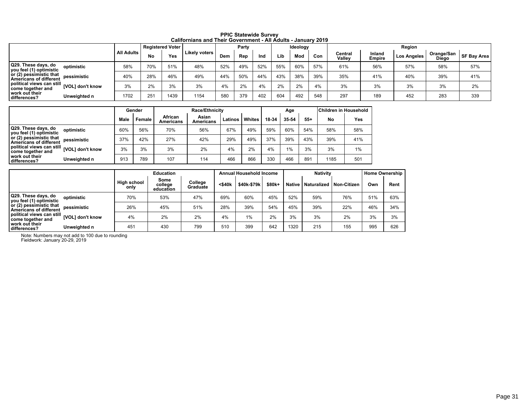|                                                       |                   |      |                  |            |                      | <u> Vallivi illaris allu Tileli Ovverillilelit - All Auults - Jallual V ZV IV</u> |       |     |     |          |     |                   |                         |             |                       |             |
|-------------------------------------------------------|-------------------|------|------------------|------------|----------------------|-----------------------------------------------------------------------------------|-------|-----|-----|----------|-----|-------------------|-------------------------|-------------|-----------------------|-------------|
|                                                       |                   |      | Registered Voter |            |                      |                                                                                   | Party |     |     | Ideology |     |                   |                         | Region      |                       |             |
|                                                       | <b>All Adults</b> |      | No               | <b>Yes</b> | <b>Likely voters</b> | Dem                                                                               | Rep   | Ind | Lib | Mod      | Con | Central<br>Valley | Inland<br><b>Empire</b> | Los Angeles | Orange/San I<br>Diego | SF Bay Area |
| Q29. These days, do<br>vou feel (1) optimistic        | optimistic        | 58%  | 70%              | 51%        | 48%                  | 52%                                                                               | 49%   | 52% | 55% | 60%      | 57% | 61%               | 56%                     | 57%         | 58%                   | 57%         |
| or (2) pessimistic that<br>Americans of different     | pessimistic       | 40%  | 28%              | 46%        | 49%                  | 44%                                                                               | 50%   | 44% | 43% | 38%      | 39% | 35%               | 41%                     | 40%         | 39%                   | 41%         |
| political views can still<br><b>come together and</b> | [VOL] don't know  | 3%   | 2%               | 3%         | 3%                   | 4%                                                                                | 2%    | 4%  | 2%  | 2%       | 4%  | 3%                | 3%                      | 3%          | 3%                    | 2%          |
| work out their<br>differences?                        | Unweighted n      | 1702 | 251              | 1439       | 1154                 | 580                                                                               | 379   | 402 | 604 | 492      | 548 | 297               | 189                     | 452         | 283                   | 339         |

|                                                          |                  | <b>Race/Ethnicity</b><br>Gender<br>Age |        |                             |                    |         | Children in Household |       |       |                 |      |       |
|----------------------------------------------------------|------------------|----------------------------------------|--------|-----------------------------|--------------------|---------|-----------------------|-------|-------|-----------------|------|-------|
|                                                          |                  | Male                                   | Female | <b>African</b><br>Americans | Asian<br>Americans | Latinos | <b>Whites</b>         | 18-34 | 35-54 | $55+$           | No   | Yes   |
| Q29. These days, do<br>you feel (1) optimistic           | optimistic       | 60%                                    | 56%    | 70%                         | 56%                | 67%     | 49%                   | 59%   | 60%   | 54%             | 58%  | 58%   |
| or (2) pessimistic that<br><b>Americans of different</b> | pessimistic      | 37%                                    | 42%    | 27%                         | 42%                | 29%     | 49%                   | 37%   | 39%   | 43%             | 39%  | 41%   |
| political views can still<br>come together and           | [VOL] don't know | 3%                                     | 3%     | 3%                          | 2%                 | 4%      | 2%                    | 4%    | $1\%$ | 3%              | 3%   | $1\%$ |
| work out their<br>differences?                           | Unweighted n     | 913                                    | 789    | 107                         | 114                | 466     | 866                   | 330   | 466   | 89 <sup>2</sup> | 1185 | 501   |

|                                                          |                  |                     | <b>Education</b>             |                     |        | Annual Household Income |        |        | Nativity                  |     | <b>Home Ownership</b> |      |  |
|----------------------------------------------------------|------------------|---------------------|------------------------------|---------------------|--------|-------------------------|--------|--------|---------------------------|-----|-----------------------|------|--|
|                                                          |                  | High school<br>only | Some<br>college<br>education | College<br>Graduate | <\$40k | \$40k-\$79k             | \$80k+ | Native | Naturalized   Non-Citizen |     | Own                   | Rent |  |
| Q29. These days, do<br>you feel (1) optimistic           | optimistic       | 70%                 | 53%                          | 47%                 | 69%    | 60%                     | 45%    | 52%    | 59%                       | 76% | 51%                   | 63%  |  |
| or (2) pessimistic that<br><b>Americans of different</b> | pessimistic      | 26%                 | 45%                          | 51%                 | 28%    | 39%                     | 54%    | 45%    | 39%                       | 22% | 46%                   | 34%  |  |
| political views can still<br>come together and           | [VOL] don't know | 4%                  | 2%                           | 2%                  | 4%     | $1\%$                   | 2%     | 3%     | 3%                        | 2%  | 3%                    | 3%   |  |
| work out their<br>differences?                           | Unweighted n     | 451                 | 430                          | 799                 | 510    | 399                     | 642    | 1320   | 215                       | 155 | 995                   | 626  |  |